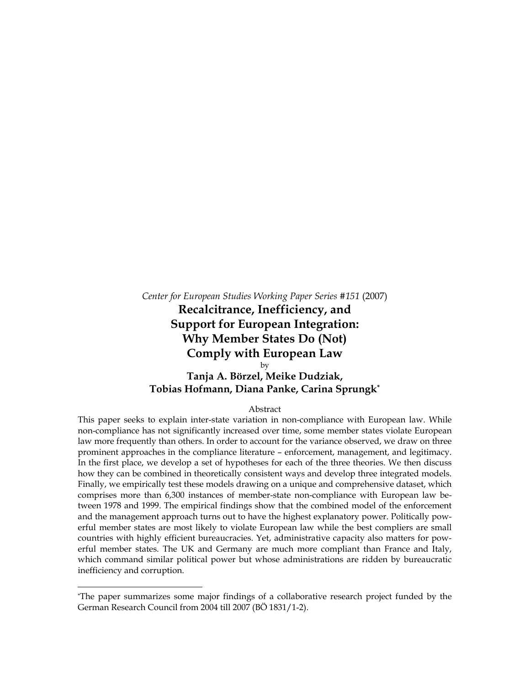*Center for European Studies Working Paper Series #151* (2007) **Recalcitrance, Inefficiency, and Support for European Integration: Why Member States Do (Not) Comply with European Law**  by **Tanja A. Börzel, Meike Dudziak,** 

**Tobias Hofmann, Diana Panke, Carina Sprungk\***

Abstract

This paper seeks to explain inter-state variation in non-compliance with European law. While non-compliance has not significantly increased over time, some member states violate European law more frequently than others. In order to account for the variance observed, we draw on three prominent approaches in the compliance literature – enforcement, management, and legitimacy. In the first place, we develop a set of hypotheses for each of the three theories. We then discuss how they can be combined in theoretically consistent ways and develop three integrated models. Finally, we empirically test these models drawing on a unique and comprehensive dataset, which comprises more than 6,300 instances of member-state non-compliance with European law between 1978 and 1999. The empirical findings show that the combined model of the enforcement and the management approach turns out to have the highest explanatory power. Politically powerful member states are most likely to violate European law while the best compliers are small countries with highly efficient bureaucracies. Yet, administrative capacity also matters for powerful member states. The UK and Germany are much more compliant than France and Italy, which command similar political power but whose administrations are ridden by bureaucratic inefficiency and corruption.

<sup>\*</sup> The paper summarizes some major findings of a collaborative research project funded by the German Research Council from 2004 till 2007 (BÖ 1831/1-2).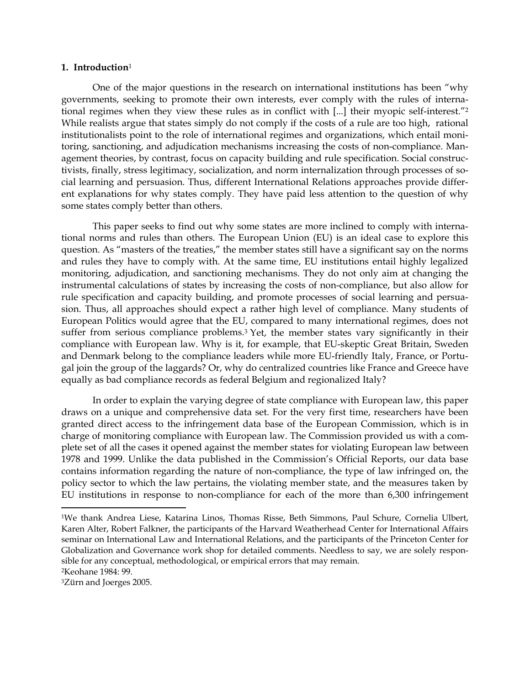#### **1. Introduction**<sup>1</sup>

One of the major questions in the research on international institutions has been "why governments, seeking to promote their own interests, ever comply with the rules of international regimes when they view these rules as in conflict with [...] their myopic self-interest."<sup>2</sup> While realists argue that states simply do not comply if the costs of a rule are too high, rational institutionalists point to the role of international regimes and organizations, which entail monitoring, sanctioning, and adjudication mechanisms increasing the costs of non-compliance. Management theories, by contrast, focus on capacity building and rule specification. Social constructivists, finally, stress legitimacy, socialization, and norm internalization through processes of social learning and persuasion. Thus, different International Relations approaches provide different explanations for why states comply. They have paid less attention to the question of why some states comply better than others.

This paper seeks to find out why some states are more inclined to comply with international norms and rules than others. The European Union (EU) is an ideal case to explore this question. As "masters of the treaties," the member states still have a significant say on the norms and rules they have to comply with. At the same time, EU institutions entail highly legalized monitoring, adjudication, and sanctioning mechanisms. They do not only aim at changing the instrumental calculations of states by increasing the costs of non-compliance, but also allow for rule specification and capacity building, and promote processes of social learning and persuasion. Thus, all approaches should expect a rather high level of compliance. Many students of European Politics would agree that the EU, compared to many international regimes, does not suffer from serious compliance problems.<sup>3</sup> Yet, the member states vary significantly in their compliance with European law. Why is it, for example, that EU-skeptic Great Britain, Sweden and Denmark belong to the compliance leaders while more EU-friendly Italy, France, or Portugal join the group of the laggards? Or, why do centralized countries like France and Greece have equally as bad compliance records as federal Belgium and regionalized Italy?

In order to explain the varying degree of state compliance with European law, this paper draws on a unique and comprehensive data set. For the very first time, researchers have been granted direct access to the infringement data base of the European Commission, which is in charge of monitoring compliance with European law. The Commission provided us with a complete set of all the cases it opened against the member states for violating European law between 1978 and 1999. Unlike the data published in the Commission's Official Reports, our data base contains information regarding the nature of non-compliance, the type of law infringed on, the policy sector to which the law pertains, the violating member state, and the measures taken by EU institutions in response to non-compliance for each of the more than 6,300 infringement

<sup>1</sup>We thank Andrea Liese, Katarina Linos, Thomas Risse, Beth Simmons, Paul Schure, Cornelia Ulbert, Karen Alter, Robert Falkner, the participants of the Harvard Weatherhead Center for International Affairs seminar on International Law and International Relations, and the participants of the Princeton Center for Globalization and Governance work shop for detailed comments. Needless to say, we are solely responsible for any conceptual, methodological, or empirical errors that may remain.

<sup>2</sup>Keohane 1984: 99.

<sup>3</sup>Zürn and Joerges 2005.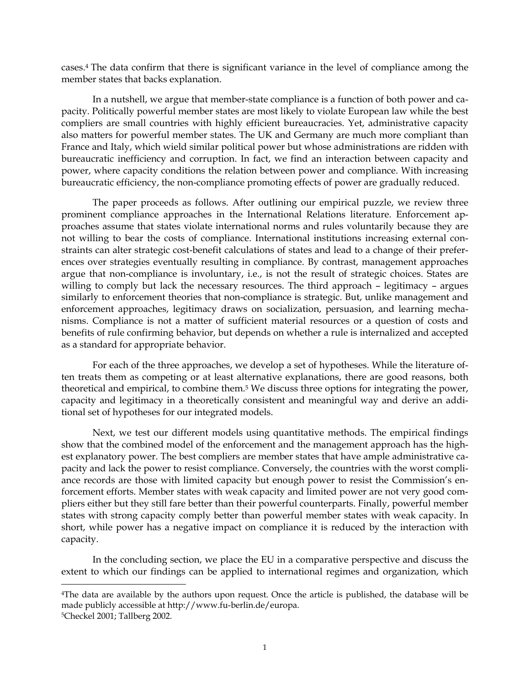cases.4 The data confirm that there is significant variance in the level of compliance among the member states that backs explanation.

In a nutshell, we argue that member-state compliance is a function of both power and capacity. Politically powerful member states are most likely to violate European law while the best compliers are small countries with highly efficient bureaucracies. Yet, administrative capacity also matters for powerful member states. The UK and Germany are much more compliant than France and Italy, which wield similar political power but whose administrations are ridden with bureaucratic inefficiency and corruption. In fact, we find an interaction between capacity and power, where capacity conditions the relation between power and compliance. With increasing bureaucratic efficiency, the non-compliance promoting effects of power are gradually reduced.

The paper proceeds as follows. After outlining our empirical puzzle, we review three prominent compliance approaches in the International Relations literature. Enforcement approaches assume that states violate international norms and rules voluntarily because they are not willing to bear the costs of compliance. International institutions increasing external constraints can alter strategic cost-benefit calculations of states and lead to a change of their preferences over strategies eventually resulting in compliance. By contrast, management approaches argue that non-compliance is involuntary, i.e., is not the result of strategic choices. States are willing to comply but lack the necessary resources. The third approach – legitimacy – argues similarly to enforcement theories that non-compliance is strategic. But, unlike management and enforcement approaches, legitimacy draws on socialization, persuasion, and learning mechanisms. Compliance is not a matter of sufficient material resources or a question of costs and benefits of rule confirming behavior, but depends on whether a rule is internalized and accepted as a standard for appropriate behavior.

For each of the three approaches, we develop a set of hypotheses. While the literature often treats them as competing or at least alternative explanations, there are good reasons, both theoretical and empirical, to combine them.5 We discuss three options for integrating the power, capacity and legitimacy in a theoretically consistent and meaningful way and derive an additional set of hypotheses for our integrated models.

Next, we test our different models using quantitative methods. The empirical findings show that the combined model of the enforcement and the management approach has the highest explanatory power. The best compliers are member states that have ample administrative capacity and lack the power to resist compliance. Conversely, the countries with the worst compliance records are those with limited capacity but enough power to resist the Commission's enforcement efforts. Member states with weak capacity and limited power are not very good compliers either but they still fare better than their powerful counterparts. Finally, powerful member states with strong capacity comply better than powerful member states with weak capacity. In short, while power has a negative impact on compliance it is reduced by the interaction with capacity.

In the concluding section, we place the EU in a comparative perspective and discuss the extent to which our findings can be applied to international regimes and organization, which

<sup>&</sup>lt;sup>4</sup>The data are available by the authors upon request. Once the article is published, the database will be made publicly accessible at http://www.fu-berlin.de/europa.

<sup>5</sup>Checkel 2001; Tallberg 2002.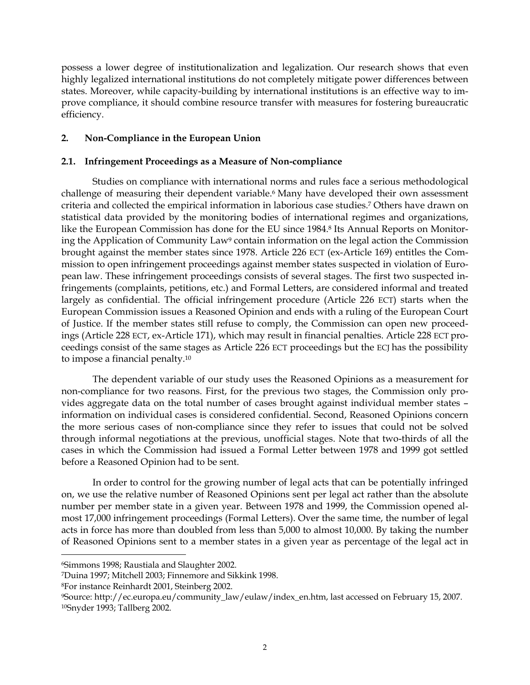possess a lower degree of institutionalization and legalization. Our research shows that even highly legalized international institutions do not completely mitigate power differences between states. Moreover, while capacity-building by international institutions is an effective way to improve compliance, it should combine resource transfer with measures for fostering bureaucratic efficiency.

# **2. Non-Compliance in the European Union**

# **2.1. Infringement Proceedings as a Measure of Non-compliance**

Studies on compliance with international norms and rules face a serious methodological challenge of measuring their dependent variable.<sup>6</sup> Many have developed their own assessment criteria and collected the empirical information in laborious case studies.7 Others have drawn on statistical data provided by the monitoring bodies of international regimes and organizations, like the European Commission has done for the EU since 1984.<sup>8</sup> Its Annual Reports on Monitoring the Application of Community Law<sup>9</sup> contain information on the legal action the Commission brought against the member states since 1978. Article 226 ECT (ex-Article 169) entitles the Commission to open infringement proceedings against member states suspected in violation of European law. These infringement proceedings consists of several stages. The first two suspected infringements (complaints, petitions, etc.) and Formal Letters, are considered informal and treated largely as confidential. The official infringement procedure (Article 226 ECT) starts when the European Commission issues a Reasoned Opinion and ends with a ruling of the European Court of Justice. If the member states still refuse to comply, the Commission can open new proceedings (Article 228 ECT, ex-Article 171), which may result in financial penalties. Article 228 ECT proceedings consist of the same stages as Article 226 ECT proceedings but the ECJ has the possibility to impose a financial penalty.10

The dependent variable of our study uses the Reasoned Opinions as a measurement for non-compliance for two reasons. First, for the previous two stages, the Commission only provides aggregate data on the total number of cases brought against individual member states – information on individual cases is considered confidential. Second, Reasoned Opinions concern the more serious cases of non-compliance since they refer to issues that could not be solved through informal negotiations at the previous, unofficial stages. Note that two-thirds of all the cases in which the Commission had issued a Formal Letter between 1978 and 1999 got settled before a Reasoned Opinion had to be sent.

In order to control for the growing number of legal acts that can be potentially infringed on, we use the relative number of Reasoned Opinions sent per legal act rather than the absolute number per member state in a given year. Between 1978 and 1999, the Commission opened almost 17,000 infringement proceedings (Formal Letters). Over the same time, the number of legal acts in force has more than doubled from less than 5,000 to almost 10,000. By taking the number of Reasoned Opinions sent to a member states in a given year as percentage of the legal act in

<sup>6</sup>Simmons 1998; Raustiala and Slaughter 2002.

<sup>7</sup>Duina 1997; Mitchell 2003; Finnemore and Sikkink 1998.

<sup>8</sup>For instance Reinhardt 2001, Steinberg 2002.

<sup>9</sup>Source: http://ec.europa.eu/community\_law/eulaw/index\_en.htm, last accessed on February 15, 2007. 10Snyder 1993; Tallberg 2002.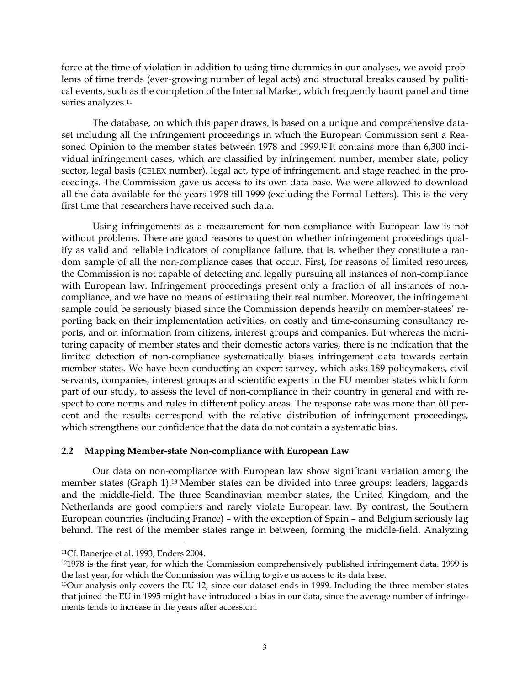force at the time of violation in addition to using time dummies in our analyses, we avoid problems of time trends (ever-growing number of legal acts) and structural breaks caused by political events, such as the completion of the Internal Market, which frequently haunt panel and time series analyzes.<sup>11</sup>

The database, on which this paper draws, is based on a unique and comprehensive dataset including all the infringement proceedings in which the European Commission sent a Reasoned Opinion to the member states between 1978 and 1999.12 It contains more than 6,300 individual infringement cases, which are classified by infringement number, member state, policy sector, legal basis (CELEX number), legal act, type of infringement, and stage reached in the proceedings. The Commission gave us access to its own data base. We were allowed to download all the data available for the years 1978 till 1999 (excluding the Formal Letters). This is the very first time that researchers have received such data.

Using infringements as a measurement for non-compliance with European law is not without problems. There are good reasons to question whether infringement proceedings qualify as valid and reliable indicators of compliance failure, that is, whether they constitute a random sample of all the non-compliance cases that occur. First, for reasons of limited resources, the Commission is not capable of detecting and legally pursuing all instances of non-compliance with European law. Infringement proceedings present only a fraction of all instances of noncompliance, and we have no means of estimating their real number. Moreover, the infringement sample could be seriously biased since the Commission depends heavily on member-statees' reporting back on their implementation activities, on costly and time-consuming consultancy reports, and on information from citizens, interest groups and companies. But whereas the monitoring capacity of member states and their domestic actors varies, there is no indication that the limited detection of non-compliance systematically biases infringement data towards certain member states. We have been conducting an expert survey, which asks 189 policymakers, civil servants, companies, interest groups and scientific experts in the EU member states which form part of our study, to assess the level of non-compliance in their country in general and with respect to core norms and rules in different policy areas. The response rate was more than 60 percent and the results correspond with the relative distribution of infringement proceedings, which strengthens our confidence that the data do not contain a systematic bias.

### **2.2 Mapping Member-state Non-compliance with European Law**

Our data on non-compliance with European law show significant variation among the member states (Graph 1).13 Member states can be divided into three groups: leaders, laggards and the middle-field. The three Scandinavian member states, the United Kingdom, and the Netherlands are good compliers and rarely violate European law. By contrast, the Southern European countries (including France) – with the exception of Spain – and Belgium seriously lag behind. The rest of the member states range in between, forming the middle-field. Analyzing

<sup>11</sup>Cf. Banerjee et al. 1993; Enders 2004.

<sup>121978</sup> is the first year, for which the Commission comprehensively published infringement data. 1999 is the last year, for which the Commission was willing to give us access to its data base.

<sup>&</sup>lt;sup>13</sup>Our analysis only covers the EU 12, since our dataset ends in 1999. Including the three member states that joined the EU in 1995 might have introduced a bias in our data, since the average number of infringements tends to increase in the years after accession.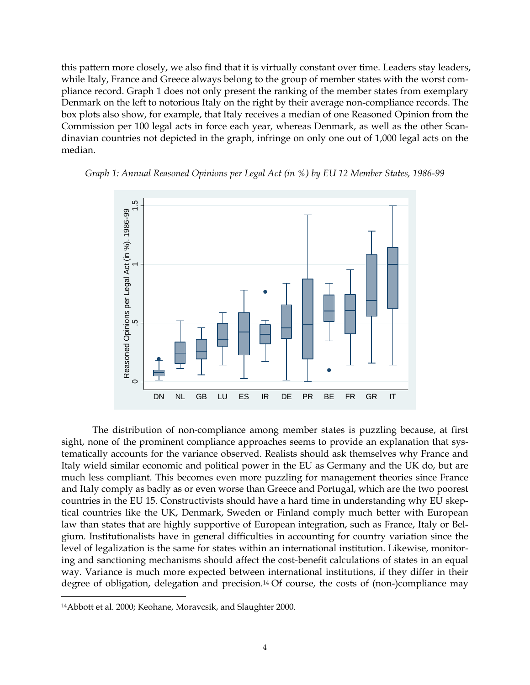this pattern more closely, we also find that it is virtually constant over time. Leaders stay leaders, while Italy, France and Greece always belong to the group of member states with the worst compliance record. Graph 1 does not only present the ranking of the member states from exemplary Denmark on the left to notorious Italy on the right by their average non-compliance records. The box plots also show, for example, that Italy receives a median of one Reasoned Opinion from the Commission per 100 legal acts in force each year, whereas Denmark, as well as the other Scandinavian countries not depicted in the graph, infringe on only one out of 1,000 legal acts on the median.





The distribution of non-compliance among member states is puzzling because, at first sight, none of the prominent compliance approaches seems to provide an explanation that systematically accounts for the variance observed. Realists should ask themselves why France and Italy wield similar economic and political power in the EU as Germany and the UK do, but are much less compliant. This becomes even more puzzling for management theories since France and Italy comply as badly as or even worse than Greece and Portugal, which are the two poorest countries in the EU 15. Constructivists should have a hard time in understanding why EU skeptical countries like the UK, Denmark, Sweden or Finland comply much better with European law than states that are highly supportive of European integration, such as France, Italy or Belgium. Institutionalists have in general difficulties in accounting for country variation since the level of legalization is the same for states within an international institution. Likewise, monitoring and sanctioning mechanisms should affect the cost-benefit calculations of states in an equal way. Variance is much more expected between international institutions, if they differ in their degree of obligation, delegation and precision.14 Of course, the costs of (non-)compliance may

<sup>14</sup>Abbott et al. 2000; Keohane, Moravcsik, and Slaughter 2000.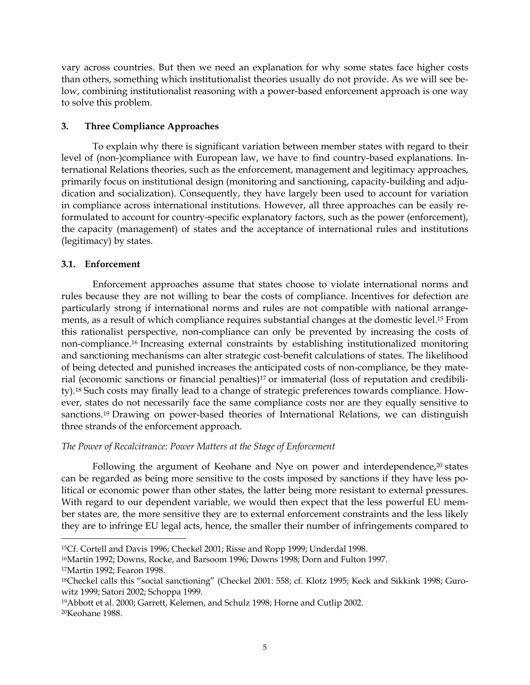vary across countries. But then we need an explanation for why some states face higher costs than others, something which institutionalist theories usually do not provide. As we will see below, combining institutionalist reasoning with a power-based enforcement approach is one way to solve this problem.

# **3. Three Compliance Approaches**

To explain why there is significant variation between member states with regard to their level of (non-)compliance with European law, we have to find country-based explanations. International Relations theories, such as the enforcement, management and legitimacy approaches, primarily focus on institutional design (monitoring and sanctioning, capacity-building and adjudication and socialization). Consequently, they have largely been used to account for variation in compliance across international institutions. However, all three approaches can be easily reformulated to account for country-specific explanatory factors, such as the power (enforcement), the capacity (management) of states and the acceptance of international rules and institutions (legitimacy) by states.

# **3.1. Enforcement**

 $\overline{a}$ 

Enforcement approaches assume that states choose to violate international norms and rules because they are not willing to bear the costs of compliance. Incentives for defection are particularly strong if international norms and rules are not compatible with national arrangements, as a result of which compliance requires substantial changes at the domestic level.15 From this rationalist perspective, non-compliance can only be prevented by increasing the costs of non-compliance.16 Increasing external constraints by establishing institutionalized monitoring and sanctioning mechanisms can alter strategic cost-benefit calculations of states. The likelihood of being detected and punished increases the anticipated costs of non-compliance, be they material (economic sanctions or financial penalties)17 or immaterial (loss of reputation and credibility).18 Such costs may finally lead to a change of strategic preferences towards compliance. However, states do not necessarily face the same compliance costs nor are they equally sensitive to sanctions.<sup>19</sup> Drawing on power-based theories of International Relations, we can distinguish three strands of the enforcement approach.

## *The Power of Recalcitrance: Power Matters at the Stage of Enforcement*

Following the argument of Keohane and Nye on power and interdependence,<sup>20</sup> states can be regarded as being more sensitive to the costs imposed by sanctions if they have less political or economic power than other states, the latter being more resistant to external pressures. With regard to our dependent variable, we would then expect that the less powerful EU member states are, the more sensitive they are to external enforcement constraints and the less likely they are to infringe EU legal acts, hence, the smaller their number of infringements compared to

<sup>15</sup>Cf. Cortell and Davis 1996; Checkel 2001; Risse and Ropp 1999; Underdal 1998.

<sup>16</sup>Martin 1992; Downs, Rocke, and Barsoom 1996; Downs 1998; Dorn and Fulton 1997. 17Martin 1992; Fearon 1998.

<sup>18</sup>Checkel calls this "social sanctioning" (Checkel 2001: 558; cf. Klotz 1995; Keck and Sikkink 1998; Gurowitz 1999; Satori 2002; Schoppa 1999.

<sup>19</sup>Abbott et al. 2000; Garrett, Kelemen, and Schulz 1998; Horne and Cutlip 2002. 20Keohane 1988.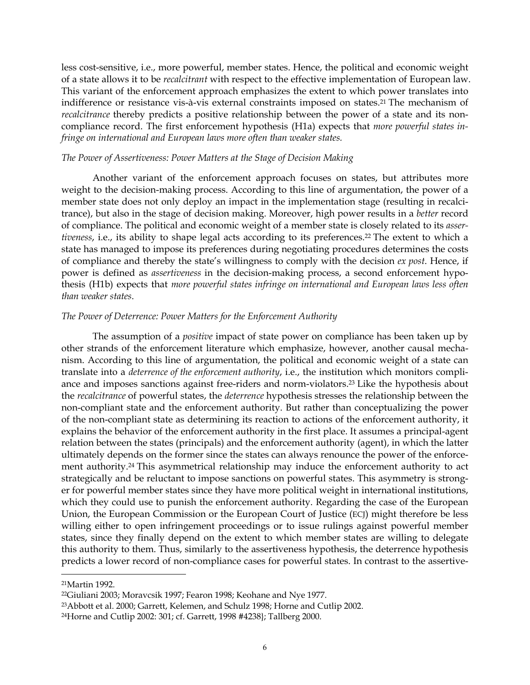less cost-sensitive, i.e., more powerful, member states. Hence, the political and economic weight of a state allows it to be *recalcitrant* with respect to the effective implementation of European law. This variant of the enforcement approach emphasizes the extent to which power translates into indifference or resistance vis-à-vis external constraints imposed on states.21 The mechanism of *recalcitrance* thereby predicts a positive relationship between the power of a state and its noncompliance record. The first enforcement hypothesis (H1a) expects that *more powerful states infringe on international and European laws more often than weaker states.*

#### *The Power of Assertiveness: Power Matters at the Stage of Decision Making*

Another variant of the enforcement approach focuses on states, but attributes more weight to the decision-making process. According to this line of argumentation, the power of a member state does not only deploy an impact in the implementation stage (resulting in recalcitrance), but also in the stage of decision making. Moreover, high power results in a *better* record of compliance. The political and economic weight of a member state is closely related to its *assertiveness*, i.e., its ability to shape legal acts according to its preferences.22 The extent to which a state has managed to impose its preferences during negotiating procedures determines the costs of compliance and thereby the state's willingness to comply with the decision *ex post*. Hence, if power is defined as *assertiveness* in the decision-making process, a second enforcement hypothesis (H1b) expects that *more powerful states infringe on international and European laws less often than weaker states*.

#### *The Power of Deterrence: Power Matters for the Enforcement Authority*

The assumption of a *positive* impact of state power on compliance has been taken up by other strands of the enforcement literature which emphasize, however, another causal mechanism. According to this line of argumentation, the political and economic weight of a state can translate into a *deterrence of the enforcement authority*, i.e., the institution which monitors compliance and imposes sanctions against free-riders and norm-violators.23 Like the hypothesis about the *recalcitrance* of powerful states, the *deterrence* hypothesis stresses the relationship between the non-compliant state and the enforcement authority. But rather than conceptualizing the power of the non-compliant state as determining its reaction to actions of the enforcement authority, it explains the behavior of the enforcement authority in the first place. It assumes a principal-agent relation between the states (principals) and the enforcement authority (agent), in which the latter ultimately depends on the former since the states can always renounce the power of the enforcement authority.24 This asymmetrical relationship may induce the enforcement authority to act strategically and be reluctant to impose sanctions on powerful states. This asymmetry is stronger for powerful member states since they have more political weight in international institutions, which they could use to punish the enforcement authority. Regarding the case of the European Union, the European Commission or the European Court of Justice (ECJ) might therefore be less willing either to open infringement proceedings or to issue rulings against powerful member states, since they finally depend on the extent to which member states are willing to delegate this authority to them. Thus, similarly to the assertiveness hypothesis, the deterrence hypothesis predicts a lower record of non-compliance cases for powerful states. In contrast to the assertive-

<sup>21</sup>Martin 1992.

<sup>22</sup>Giuliani 2003; Moravcsik 1997; Fearon 1998; Keohane and Nye 1977.

<sup>23</sup>Abbott et al. 2000; Garrett, Kelemen, and Schulz 1998; Horne and Cutlip 2002.

<sup>24</sup>Horne and Cutlip 2002: 301; cf. Garrett, 1998 #4238}; Tallberg 2000.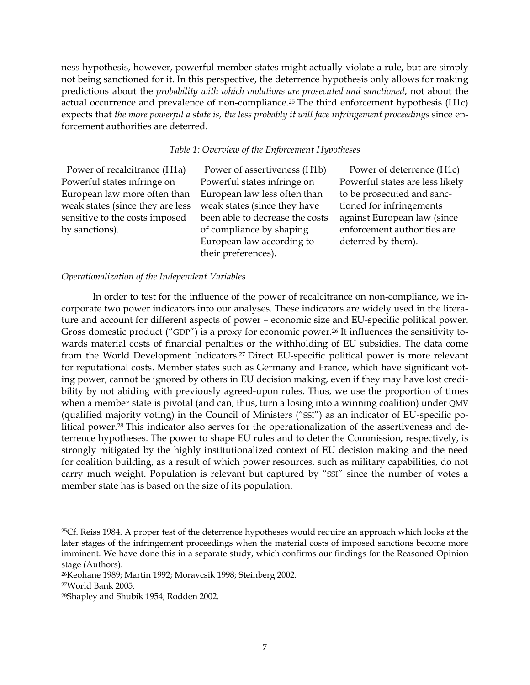ness hypothesis, however, powerful member states might actually violate a rule, but are simply not being sanctioned for it. In this perspective, the deterrence hypothesis only allows for making predictions about the *probability with which violations are prosecuted and sanctioned*, not about the actual occurrence and prevalence of non-compliance.25 The third enforcement hypothesis (H1c) expects that *the more powerful a state is, the less probably it will face infringement proceedings since en*forcement authorities are deterred.

| Power of recalcitrance (H1a)     | Power of assertiveness (H1b)    | Power of deterrence (H1c)       |
|----------------------------------|---------------------------------|---------------------------------|
| Powerful states infringe on      | Powerful states infringe on     | Powerful states are less likely |
| European law more often than     | European law less often than    | to be prosecuted and sanc-      |
| weak states (since they are less | weak states (since they have    | tioned for infringements        |
| sensitive to the costs imposed   | been able to decrease the costs | against European law (since     |
| by sanctions).                   | of compliance by shaping        | enforcement authorities are     |
|                                  | European law according to       | deterred by them).              |
|                                  | their preferences).             |                                 |

*Table 1: Overview of the Enforcement Hypotheses* 

# *Operationalization of the Independent Variables*

In order to test for the influence of the power of recalcitrance on non-compliance, we incorporate two power indicators into our analyses. These indicators are widely used in the literature and account for different aspects of power – economic size and EU-specific political power. Gross domestic product ("GDP") is a proxy for economic power.26 It influences the sensitivity towards material costs of financial penalties or the withholding of EU subsidies. The data come from the World Development Indicators.27 Direct EU-specific political power is more relevant for reputational costs. Member states such as Germany and France, which have significant voting power, cannot be ignored by others in EU decision making, even if they may have lost credibility by not abiding with previously agreed-upon rules. Thus, we use the proportion of times when a member state is pivotal (and can, thus, turn a losing into a winning coalition) under QMV (qualified majority voting) in the Council of Ministers ("SSI") as an indicator of EU-specific political power.<sup>28</sup> This indicator also serves for the operationalization of the assertiveness and deterrence hypotheses. The power to shape EU rules and to deter the Commission, respectively, is strongly mitigated by the highly institutionalized context of EU decision making and the need for coalition building, as a result of which power resources, such as military capabilities, do not carry much weight. Population is relevant but captured by "SSI" since the number of votes a member state has is based on the size of its population.

<sup>&</sup>lt;sup>25</sup>Cf. Reiss 1984. A proper test of the deterrence hypotheses would require an approach which looks at the later stages of the infringement proceedings when the material costs of imposed sanctions become more imminent. We have done this in a separate study, which confirms our findings for the Reasoned Opinion stage (Authors).

<sup>26</sup>Keohane 1989; Martin 1992; Moravcsik 1998; Steinberg 2002.

<sup>27</sup>World Bank 2005.

<sup>28</sup>Shapley and Shubik 1954; Rodden 2002.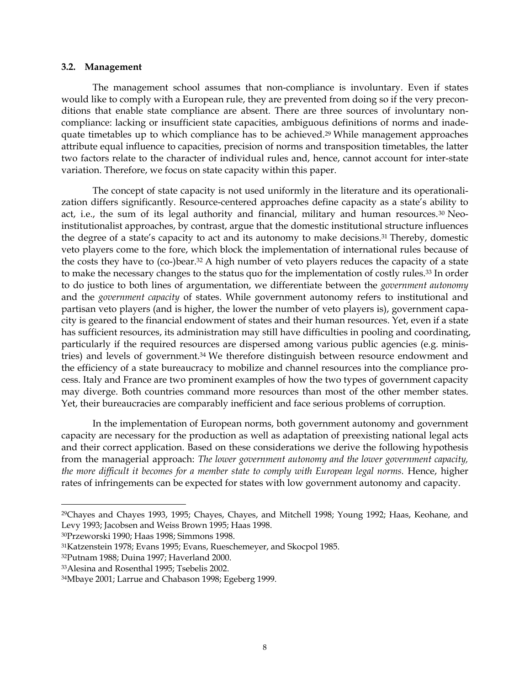#### **3.2. Management**

The management school assumes that non-compliance is involuntary. Even if states would like to comply with a European rule, they are prevented from doing so if the very preconditions that enable state compliance are absent. There are three sources of involuntary noncompliance: lacking or insufficient state capacities, ambiguous definitions of norms and inadequate timetables up to which compliance has to be achieved.29 While management approaches attribute equal influence to capacities, precision of norms and transposition timetables, the latter two factors relate to the character of individual rules and, hence, cannot account for inter-state variation. Therefore, we focus on state capacity within this paper.

The concept of state capacity is not used uniformly in the literature and its operationalization differs significantly. Resource-centered approaches define capacity as a state's ability to act, i.e., the sum of its legal authority and financial, military and human resources.<sup>30</sup> Neoinstitutionalist approaches, by contrast, argue that the domestic institutional structure influences the degree of a state's capacity to act and its autonomy to make decisions.31 Thereby, domestic veto players come to the fore, which block the implementation of international rules because of the costs they have to (co-)bear.32 A high number of veto players reduces the capacity of a state to make the necessary changes to the status quo for the implementation of costly rules.33 In order to do justice to both lines of argumentation, we differentiate between the *government autonomy* and the *government capacity* of states. While government autonomy refers to institutional and partisan veto players (and is higher, the lower the number of veto players is), government capacity is geared to the financial endowment of states and their human resources. Yet, even if a state has sufficient resources, its administration may still have difficulties in pooling and coordinating, particularly if the required resources are dispersed among various public agencies (e.g. ministries) and levels of government.34 We therefore distinguish between resource endowment and the efficiency of a state bureaucracy to mobilize and channel resources into the compliance process. Italy and France are two prominent examples of how the two types of government capacity may diverge. Both countries command more resources than most of the other member states. Yet, their bureaucracies are comparably inefficient and face serious problems of corruption.

In the implementation of European norms, both government autonomy and government capacity are necessary for the production as well as adaptation of preexisting national legal acts and their correct application. Based on these considerations we derive the following hypothesis from the managerial approach: *The lower government autonomy and the lower government capacity, the more difficult it becomes for a member state to comply with European legal norms.* Hence, higher rates of infringements can be expected for states with low government autonomy and capacity.

<sup>29</sup>Chayes and Chayes 1993, 1995; Chayes, Chayes, and Mitchell 1998; Young 1992; Haas, Keohane, and Levy 1993; Jacobsen and Weiss Brown 1995; Haas 1998.

<sup>30</sup>Przeworski 1990; Haas 1998; Simmons 1998.

<sup>31</sup>Katzenstein 1978; Evans 1995; Evans, Rueschemeyer, and Skocpol 1985.

<sup>32</sup>Putnam 1988; Duina 1997; Haverland 2000.

<sup>33</sup>Alesina and Rosenthal 1995; Tsebelis 2002.

<sup>34</sup>Mbaye 2001; Larrue and Chabason 1998; Egeberg 1999.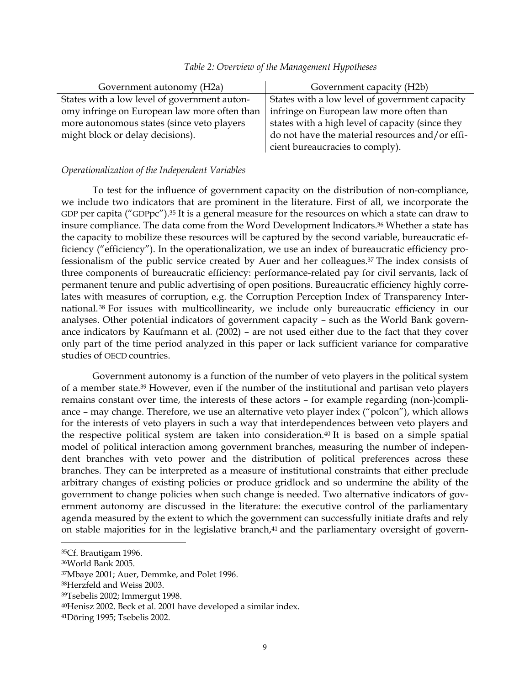| Government autonomy (H2a)                    | Government capacity (H2b)                        |  |  |
|----------------------------------------------|--------------------------------------------------|--|--|
| States with a low level of government auton- | States with a low level of government capacity   |  |  |
| omy infringe on European law more often than | infringe on European law more often than         |  |  |
| more autonomous states (since veto players   | states with a high level of capacity (since they |  |  |
| might block or delay decisions).             | do not have the material resources and/or effi-  |  |  |
|                                              | cient bureaucracies to comply).                  |  |  |

#### *Table 2: Overview of the Management Hypotheses*

### *Operationalization of the Independent Variables*

To test for the influence of government capacity on the distribution of non-compliance, we include two indicators that are prominent in the literature. First of all, we incorporate the GDP per capita ("GDPpc").<sup>35</sup> It is a general measure for the resources on which a state can draw to insure compliance. The data come from the Word Development Indicators.36 Whether a state has the capacity to mobilize these resources will be captured by the second variable, bureaucratic efficiency ("efficiency"). In the operationalization, we use an index of bureaucratic efficiency professionalism of the public service created by Auer and her colleagues.37 The index consists of three components of bureaucratic efficiency: performance-related pay for civil servants, lack of permanent tenure and public advertising of open positions. Bureaucratic efficiency highly correlates with measures of corruption, e.g. the Corruption Perception Index of Transparency International. 38 For issues with multicollinearity, we include only bureaucratic efficiency in our analyses. Other potential indicators of government capacity – such as the World Bank governance indicators by Kaufmann et al. (2002) – are not used either due to the fact that they cover only part of the time period analyzed in this paper or lack sufficient variance for comparative studies of OECD countries.

Government autonomy is a function of the number of veto players in the political system of a member state.39 However, even if the number of the institutional and partisan veto players remains constant over time, the interests of these actors – for example regarding (non-)compliance – may change. Therefore, we use an alternative veto player index ("polcon"), which allows for the interests of veto players in such a way that interdependences between veto players and the respective political system are taken into consideration.40 It is based on a simple spatial model of political interaction among government branches, measuring the number of independent branches with veto power and the distribution of political preferences across these branches. They can be interpreted as a measure of institutional constraints that either preclude arbitrary changes of existing policies or produce gridlock and so undermine the ability of the government to change policies when such change is needed. Two alternative indicators of government autonomy are discussed in the literature: the executive control of the parliamentary agenda measured by the extent to which the government can successfully initiate drafts and rely on stable majorities for in the legislative branch,<sup>41</sup> and the parliamentary oversight of govern-

<sup>35</sup>Cf. Brautigam 1996.

<sup>36</sup>World Bank 2005.

<sup>37</sup>Mbaye 2001; Auer, Demmke, and Polet 1996.

<sup>38</sup>Herzfeld and Weiss 2003.

<sup>39</sup>Tsebelis 2002; Immergut 1998.

<sup>40</sup>Henisz 2002. Beck et al. 2001 have developed a similar index.

<sup>41</sup>Döring 1995; Tsebelis 2002.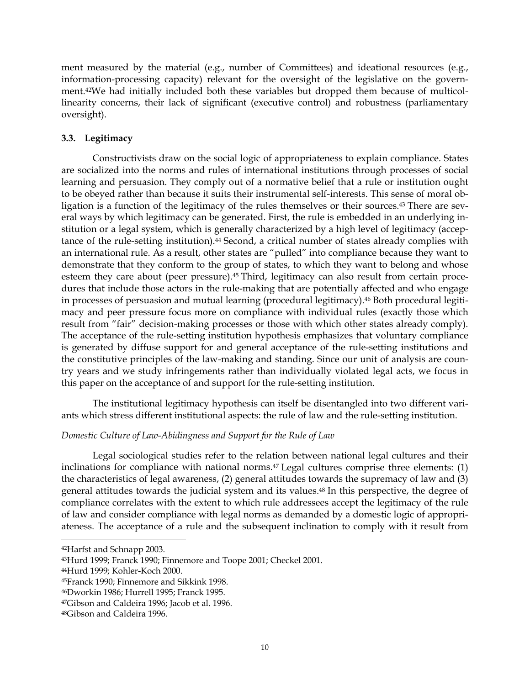ment measured by the material (e.g., number of Committees) and ideational resources (e.g., information-processing capacity) relevant for the oversight of the legislative on the government.42We had initially included both these variables but dropped them because of multicollinearity concerns, their lack of significant (executive control) and robustness (parliamentary oversight).

# **3.3. Legitimacy**

Constructivists draw on the social logic of appropriateness to explain compliance. States are socialized into the norms and rules of international institutions through processes of social learning and persuasion. They comply out of a normative belief that a rule or institution ought to be obeyed rather than because it suits their instrumental self-interests. This sense of moral obligation is a function of the legitimacy of the rules themselves or their sources.43 There are several ways by which legitimacy can be generated. First, the rule is embedded in an underlying institution or a legal system, which is generally characterized by a high level of legitimacy (acceptance of the rule-setting institution).<sup>44</sup> Second, a critical number of states already complies with an international rule. As a result, other states are "pulled" into compliance because they want to demonstrate that they conform to the group of states, to which they want to belong and whose esteem they care about (peer pressure).45 Third, legitimacy can also result from certain procedures that include those actors in the rule-making that are potentially affected and who engage in processes of persuasion and mutual learning (procedural legitimacy).<sup>46</sup> Both procedural legitimacy and peer pressure focus more on compliance with individual rules (exactly those which result from "fair" decision-making processes or those with which other states already comply). The acceptance of the rule-setting institution hypothesis emphasizes that voluntary compliance is generated by diffuse support for and general acceptance of the rule-setting institutions and the constitutive principles of the law-making and standing. Since our unit of analysis are country years and we study infringements rather than individually violated legal acts, we focus in this paper on the acceptance of and support for the rule-setting institution.

The institutional legitimacy hypothesis can itself be disentangled into two different variants which stress different institutional aspects: the rule of law and the rule-setting institution.

## *Domestic Culture of Law-Abidingness and Support for the Rule of Law*

Legal sociological studies refer to the relation between national legal cultures and their inclinations for compliance with national norms.<sup>47</sup> Legal cultures comprise three elements: (1) the characteristics of legal awareness, (2) general attitudes towards the supremacy of law and (3) general attitudes towards the judicial system and its values.48 In this perspective, the degree of compliance correlates with the extent to which rule addressees accept the legitimacy of the rule of law and consider compliance with legal norms as demanded by a domestic logic of appropriateness. The acceptance of a rule and the subsequent inclination to comply with it result from

<sup>42</sup>Harfst and Schnapp 2003.

<sup>43</sup>Hurd 1999; Franck 1990; Finnemore and Toope 2001; Checkel 2001.

<sup>44</sup>Hurd 1999; Kohler-Koch 2000.

<sup>45</sup>Franck 1990; Finnemore and Sikkink 1998.

<sup>46</sup>Dworkin 1986; Hurrell 1995; Franck 1995.

<sup>47</sup>Gibson and Caldeira 1996; Jacob et al. 1996.

<sup>48</sup>Gibson and Caldeira 1996.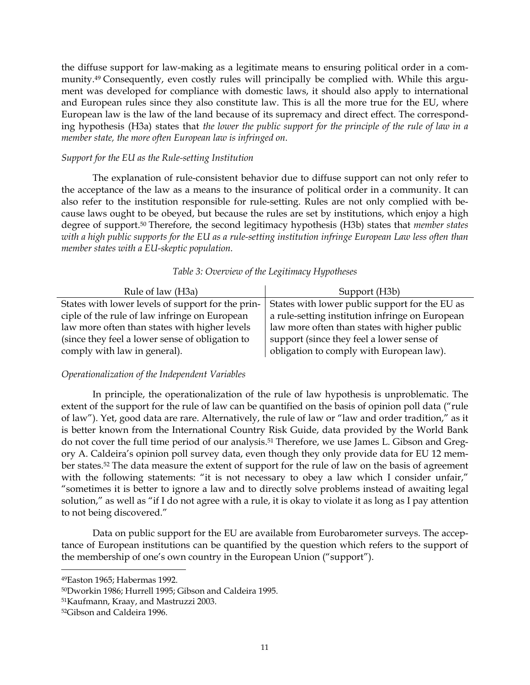the diffuse support for law-making as a legitimate means to ensuring political order in a community.49 Consequently, even costly rules will principally be complied with. While this argument was developed for compliance with domestic laws, it should also apply to international and European rules since they also constitute law. This is all the more true for the EU, where European law is the law of the land because of its supremacy and direct effect. The corresponding hypothesis (H3a) states that *the lower the public support for the principle of the rule of law in a member state, the more often European law is infringed on.* 

### *Support for the EU as the Rule-setting Institution*

The explanation of rule-consistent behavior due to diffuse support can not only refer to the acceptance of the law as a means to the insurance of political order in a community. It can also refer to the institution responsible for rule-setting. Rules are not only complied with because laws ought to be obeyed, but because the rules are set by institutions, which enjoy a high degree of support.50 Therefore, the second legitimacy hypothesis (H3b) states that *member states with a high public supports for the EU as a rule-setting institution infringe European Law less often than member states with a EU-skeptic population.*

| Rule of law (H3a)                                 | Support (H3b)                                   |
|---------------------------------------------------|-------------------------------------------------|
| States with lower levels of support for the prin- | States with lower public support for the EU as  |
| ciple of the rule of law infringe on European     | a rule-setting institution infringe on European |
| law more often than states with higher levels     | law more often than states with higher public   |
| (since they feel a lower sense of obligation to   | support (since they feel a lower sense of       |
| comply with law in general).                      | obligation to comply with European law).        |

### *Table 3: Overview of the Legitimacy Hypotheses*

## *Operationalization of the Independent Variables*

In principle, the operationalization of the rule of law hypothesis is unproblematic. The extent of the support for the rule of law can be quantified on the basis of opinion poll data ("rule of law"). Yet, good data are rare. Alternatively, the rule of law or "law and order tradition," as it is better known from the International Country Risk Guide, data provided by the World Bank do not cover the full time period of our analysis.<sup>51</sup> Therefore, we use James L. Gibson and Gregory A. Caldeira's opinion poll survey data, even though they only provide data for EU 12 member states.52 The data measure the extent of support for the rule of law on the basis of agreement with the following statements: "it is not necessary to obey a law which I consider unfair," "sometimes it is better to ignore a law and to directly solve problems instead of awaiting legal solution," as well as "if I do not agree with a rule, it is okay to violate it as long as I pay attention to not being discovered."

Data on public support for the EU are available from Eurobarometer surveys. The acceptance of European institutions can be quantified by the question which refers to the support of the membership of one's own country in the European Union ("support").

<sup>49</sup>Easton 1965; Habermas 1992.

<sup>50</sup>Dworkin 1986; Hurrell 1995; Gibson and Caldeira 1995.

<sup>51</sup>Kaufmann, Kraay, and Mastruzzi 2003.

<sup>52</sup>Gibson and Caldeira 1996.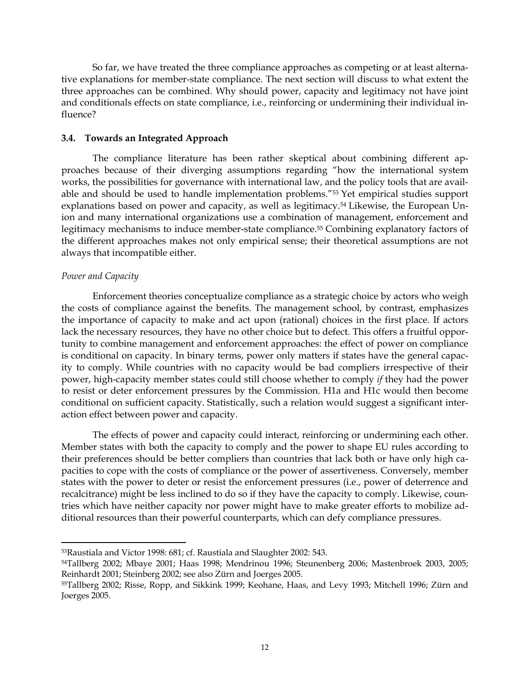So far, we have treated the three compliance approaches as competing or at least alternative explanations for member-state compliance. The next section will discuss to what extent the three approaches can be combined. Why should power, capacity and legitimacy not have joint and conditionals effects on state compliance, i.e., reinforcing or undermining their individual influence?

### **3.4. Towards an Integrated Approach**

The compliance literature has been rather skeptical about combining different approaches because of their diverging assumptions regarding "how the international system works, the possibilities for governance with international law, and the policy tools that are available and should be used to handle implementation problems."53 Yet empirical studies support explanations based on power and capacity, as well as legitimacy.<sup>54</sup> Likewise, the European Union and many international organizations use a combination of management, enforcement and legitimacy mechanisms to induce member-state compliance.55 Combining explanatory factors of the different approaches makes not only empirical sense; their theoretical assumptions are not always that incompatible either.

## *Power and Capacity*

 $\overline{a}$ 

Enforcement theories conceptualize compliance as a strategic choice by actors who weigh the costs of compliance against the benefits. The management school, by contrast, emphasizes the importance of capacity to make and act upon (rational) choices in the first place. If actors lack the necessary resources, they have no other choice but to defect. This offers a fruitful opportunity to combine management and enforcement approaches: the effect of power on compliance is conditional on capacity. In binary terms, power only matters if states have the general capacity to comply. While countries with no capacity would be bad compliers irrespective of their power, high-capacity member states could still choose whether to comply *if* they had the power to resist or deter enforcement pressures by the Commission. H1a and H1c would then become conditional on sufficient capacity. Statistically, such a relation would suggest a significant interaction effect between power and capacity.

The effects of power and capacity could interact, reinforcing or undermining each other. Member states with both the capacity to comply and the power to shape EU rules according to their preferences should be better compliers than countries that lack both or have only high capacities to cope with the costs of compliance or the power of assertiveness. Conversely, member states with the power to deter or resist the enforcement pressures (i.e., power of deterrence and recalcitrance) might be less inclined to do so if they have the capacity to comply. Likewise, countries which have neither capacity nor power might have to make greater efforts to mobilize additional resources than their powerful counterparts, which can defy compliance pressures.

<sup>53</sup>Raustiala and Victor 1998: 681; cf. Raustiala and Slaughter 2002: 543.

<sup>54</sup>Tallberg 2002; Mbaye 2001; Haas 1998; Mendrinou 1996; Steunenberg 2006; Mastenbroek 2003, 2005; Reinhardt 2001; Steinberg 2002; see also Zürn and Joerges 2005.

<sup>55</sup>Tallberg 2002; Risse, Ropp, and Sikkink 1999; Keohane, Haas, and Levy 1993; Mitchell 1996; Zürn and Joerges 2005.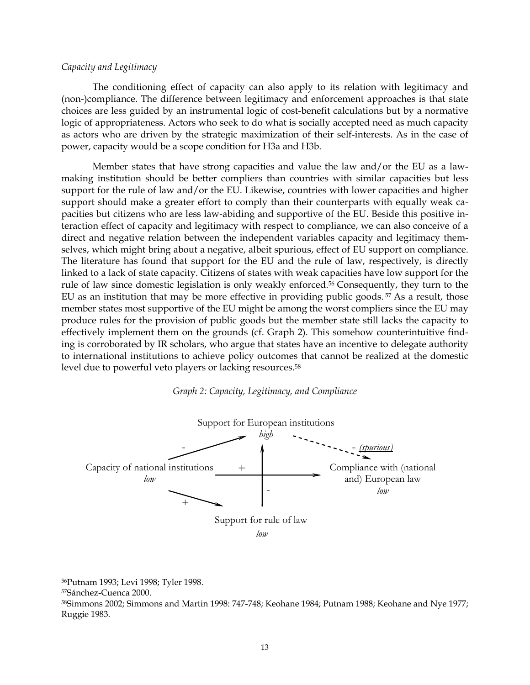#### *Capacity and Legitimacy*

The conditioning effect of capacity can also apply to its relation with legitimacy and (non-)compliance. The difference between legitimacy and enforcement approaches is that state choices are less guided by an instrumental logic of cost-benefit calculations but by a normative logic of appropriateness. Actors who seek to do what is socially accepted need as much capacity as actors who are driven by the strategic maximization of their self-interests. As in the case of power, capacity would be a scope condition for H3a and H3b.

Member states that have strong capacities and value the law and/or the EU as a lawmaking institution should be better compliers than countries with similar capacities but less support for the rule of law and/or the EU. Likewise, countries with lower capacities and higher support should make a greater effort to comply than their counterparts with equally weak capacities but citizens who are less law-abiding and supportive of the EU. Beside this positive interaction effect of capacity and legitimacy with respect to compliance, we can also conceive of a direct and negative relation between the independent variables capacity and legitimacy themselves, which might bring about a negative, albeit spurious, effect of EU support on compliance. The literature has found that support for the EU and the rule of law, respectively, is directly linked to a lack of state capacity. Citizens of states with weak capacities have low support for the rule of law since domestic legislation is only weakly enforced.56 Consequently, they turn to the EU as an institution that may be more effective in providing public goods.<sup>57</sup> As a result, those member states most supportive of the EU might be among the worst compliers since the EU may produce rules for the provision of public goods but the member state still lacks the capacity to effectively implement them on the grounds (cf. Graph 2). This somehow counterintuitive finding is corroborated by IR scholars, who argue that states have an incentive to delegate authority to international institutions to achieve policy outcomes that cannot be realized at the domestic level due to powerful veto players or lacking resources.58





<sup>56</sup>Putnam 1993; Levi 1998; Tyler 1998.

<sup>57</sup>Sánchez-Cuenca 2000.

<sup>58</sup>Simmons 2002; Simmons and Martin 1998: 747-748; Keohane 1984; Putnam 1988; Keohane and Nye 1977; Ruggie 1983.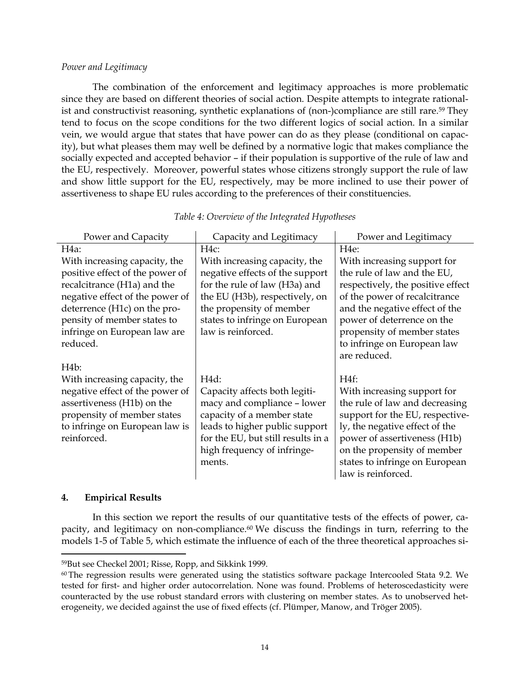### *Power and Legitimacy*

The combination of the enforcement and legitimacy approaches is more problematic since they are based on different theories of social action. Despite attempts to integrate rationalist and constructivist reasoning, synthetic explanations of (non-)compliance are still rare.59 They tend to focus on the scope conditions for the two different logics of social action. In a similar vein, we would argue that states that have power can do as they please (conditional on capacity), but what pleases them may well be defined by a normative logic that makes compliance the socially expected and accepted behavior – if their population is supportive of the rule of law and the EU, respectively. Moreover, powerful states whose citizens strongly support the rule of law and show little support for the EU, respectively, may be more inclined to use their power of assertiveness to shape EU rules according to the preferences of their constituencies.

| Power and Capacity              | Capacity and Legitimacy            | Power and Legitimacy              |  |
|---------------------------------|------------------------------------|-----------------------------------|--|
| H <sub>4a</sub> :               | $H4c$ :                            | H <sub>4</sub> e:                 |  |
| With increasing capacity, the   | With increasing capacity, the      | With increasing support for       |  |
| positive effect of the power of | negative effects of the support    | the rule of law and the EU,       |  |
| recalcitrance (H1a) and the     | for the rule of law (H3a) and      | respectively, the positive effect |  |
| negative effect of the power of | the EU (H3b), respectively, on     | of the power of recalcitrance     |  |
| deterrence (H1c) on the pro-    | the propensity of member           | and the negative effect of the    |  |
| pensity of member states to     | states to infringe on European     | power of deterrence on the        |  |
| infringe on European law are    | law is reinforced.                 | propensity of member states       |  |
| reduced.                        |                                    | to infringe on European law       |  |
|                                 |                                    | are reduced.                      |  |
| H <sub>4</sub> b:               |                                    |                                   |  |
| With increasing capacity, the   | H4d:                               | H <sub>4f</sub> :                 |  |
| negative effect of the power of | Capacity affects both legiti-      | With increasing support for       |  |
| assertiveness (H1b) on the      | macy and compliance - lower        | the rule of law and decreasing    |  |
| propensity of member states     | capacity of a member state         | support for the EU, respective-   |  |
| to infringe on European law is  | leads to higher public support     | ly, the negative effect of the    |  |
| reinforced.                     | for the EU, but still results in a | power of assertiveness (H1b)      |  |
|                                 | high frequency of infringe-        | on the propensity of member       |  |
|                                 | ments.                             | states to infringe on European    |  |
|                                 |                                    | law is reinforced.                |  |

*Table 4: Overview of the Integrated Hypotheses* 

### **4. Empirical Results**

 $\overline{a}$ 

In this section we report the results of our quantitative tests of the effects of power, capacity, and legitimacy on non-compliance.<sup>60</sup> We discuss the findings in turn, referring to the models 1-5 of Table 5, which estimate the influence of each of the three theoretical approaches si-

<sup>59</sup>But see Checkel 2001; Risse, Ropp, and Sikkink 1999.

<sup>&</sup>lt;sup>60</sup> The regression results were generated using the statistics software package Intercooled Stata 9.2. We tested for first- and higher order autocorrelation. None was found. Problems of heteroscedasticity were counteracted by the use robust standard errors with clustering on member states. As to unobserved heterogeneity, we decided against the use of fixed effects (cf. Plümper, Manow, and Tröger 2005).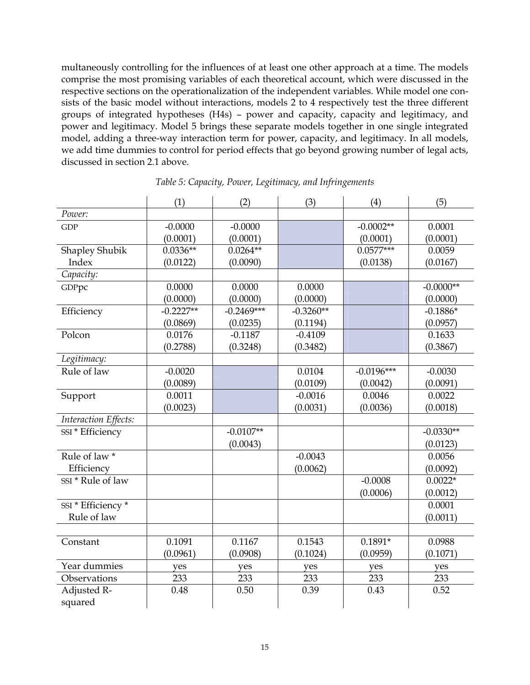multaneously controlling for the influences of at least one other approach at a time. The models comprise the most promising variables of each theoretical account, which were discussed in the respective sections on the operationalization of the independent variables. While model one consists of the basic model without interactions, models 2 to 4 respectively test the three different groups of integrated hypotheses (H4s) – power and capacity, capacity and legitimacy, and power and legitimacy. Model 5 brings these separate models together in one single integrated model, adding a three-way interaction term for power, capacity, and legitimacy. In all models, we add time dummies to control for period effects that go beyond growing number of legal acts, discussed in section 2.1 above.

|                      | (1)         | (2)          | (3)         | (4)          | (5)         |
|----------------------|-------------|--------------|-------------|--------------|-------------|
| Power:               |             |              |             |              |             |
| <b>GDP</b>           | $-0.0000$   | $-0.0000$    |             | $-0.0002**$  | 0.0001      |
|                      | (0.0001)    | (0.0001)     |             | (0.0001)     | (0.0001)    |
| Shapley Shubik       | $0.0336**$  | $0.0264**$   |             | $0.0577***$  | 0.0059      |
| Index                | (0.0122)    | (0.0090)     |             | (0.0138)     | (0.0167)    |
| Capacity:            |             |              |             |              |             |
| GDPpc                | 0.0000      | 0.0000       | 0.0000      |              | $-0.0000**$ |
|                      | (0.0000)    | (0.0000)     | (0.0000)    |              | (0.0000)    |
| Efficiency           | $-0.2227**$ | $-0.2469***$ | $-0.3260**$ |              | $-0.1886*$  |
|                      | (0.0869)    | (0.0235)     | (0.1194)    |              | (0.0957)    |
| Polcon               | 0.0176      | $-0.1187$    | $-0.4109$   |              | 0.1633      |
|                      | (0.2788)    | (0.3248)     | (0.3482)    |              | (0.3867)    |
| Legitimacy:          |             |              |             |              |             |
| Rule of law          | $-0.0020$   |              | 0.0104      | $-0.0196***$ | $-0.0030$   |
|                      | (0.0089)    |              | (0.0109)    | (0.0042)     | (0.0091)    |
| Support              | 0.0011      |              | $-0.0016$   | 0.0046       | 0.0022      |
|                      | (0.0023)    |              | (0.0031)    | (0.0036)     | (0.0018)    |
| Interaction Effects: |             |              |             |              |             |
| SSI * Efficiency     |             | $-0.0107**$  |             |              | $-0.0330**$ |
|                      |             | (0.0043)     |             |              | (0.0123)    |
| Rule of law *        |             |              | $-0.0043$   |              | 0.0056      |
| Efficiency           |             |              | (0.0062)    |              | (0.0092)    |
| SSI * Rule of law    |             |              |             | $-0.0008$    | $0.0022*$   |
|                      |             |              |             | (0.0006)     | (0.0012)    |
| SSI * Efficiency *   |             |              |             |              | 0.0001      |
| Rule of law          |             |              |             |              | (0.0011)    |
|                      |             |              |             |              |             |
| Constant             | 0.1091      | 0.1167       | 0.1543      | $0.1891*$    | 0.0988      |
|                      | (0.0961)    | (0.0908)     | (0.1024)    | (0.0959)     | (0.1071)    |
| Year dummies         | yes         | yes          | yes         | yes          | yes         |
| Observations         | 233         | 233          | 233         | 233          | 233         |
| Adjusted R-          | 0.48        | 0.50         | 0.39        | 0.43         | 0.52        |
| squared              |             |              |             |              |             |

*Table 5: Capacity, Power, Legitimacy, and Infringements*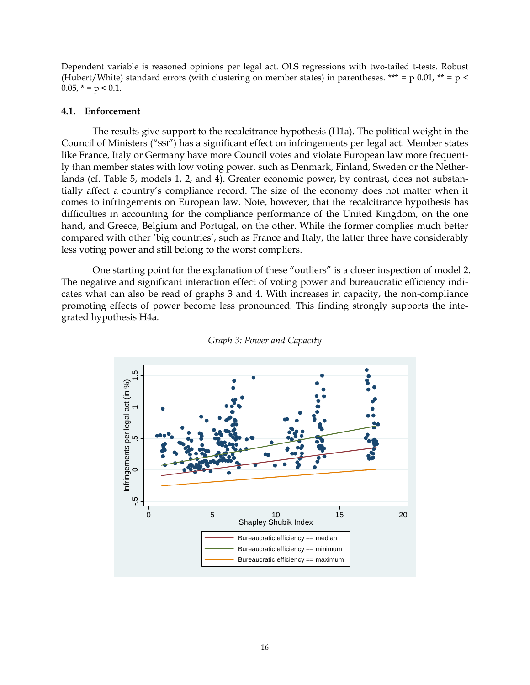Dependent variable is reasoned opinions per legal act. OLS regressions with two-tailed t-tests. Robust (Hubert/White) standard errors (with clustering on member states) in parentheses. \*\*\* = p 0.01, \*\* = p <  $0.05$ ,  $* = p < 0.1$ .

### **4.1. Enforcement**

The results give support to the recalcitrance hypothesis (H1a). The political weight in the Council of Ministers ("SSI") has a significant effect on infringements per legal act. Member states like France, Italy or Germany have more Council votes and violate European law more frequently than member states with low voting power, such as Denmark, Finland, Sweden or the Netherlands (cf. Table 5, models 1, 2, and 4). Greater economic power, by contrast, does not substantially affect a country's compliance record. The size of the economy does not matter when it comes to infringements on European law. Note, however, that the recalcitrance hypothesis has difficulties in accounting for the compliance performance of the United Kingdom, on the one hand, and Greece, Belgium and Portugal, on the other. While the former complies much better compared with other 'big countries', such as France and Italy, the latter three have considerably less voting power and still belong to the worst compliers.

One starting point for the explanation of these "outliers" is a closer inspection of model 2. The negative and significant interaction effect of voting power and bureaucratic efficiency indicates what can also be read of graphs 3 and 4. With increases in capacity, the non-compliance promoting effects of power become less pronounced. This finding strongly supports the integrated hypothesis H4a.



*Graph 3: Power and Capacity*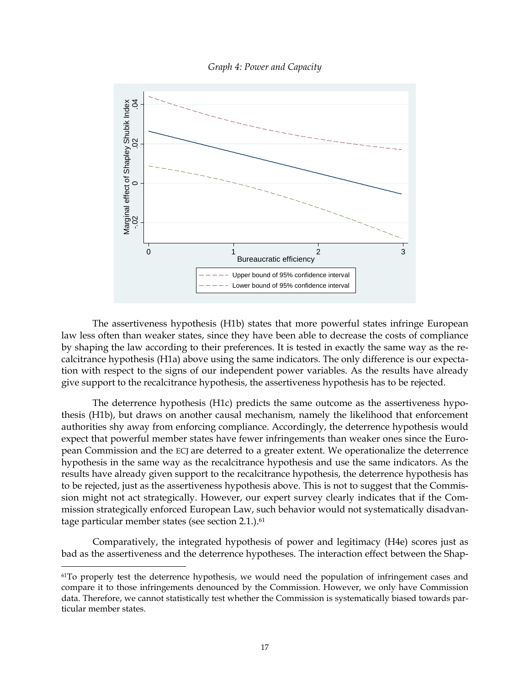*Graph 4: Power and Capacity* 



The assertiveness hypothesis (H1b) states that more powerful states infringe European law less often than weaker states, since they have been able to decrease the costs of compliance by shaping the law according to their preferences. It is tested in exactly the same way as the recalcitrance hypothesis (H1a) above using the same indicators. The only difference is our expectation with respect to the signs of our independent power variables. As the results have already give support to the recalcitrance hypothesis, the assertiveness hypothesis has to be rejected.

The deterrence hypothesis (H1c) predicts the same outcome as the assertiveness hypothesis (H1b), but draws on another causal mechanism, namely the likelihood that enforcement authorities shy away from enforcing compliance. Accordingly, the deterrence hypothesis would expect that powerful member states have fewer infringements than weaker ones since the European Commission and the ECJ are deterred to a greater extent. We operationalize the deterrence hypothesis in the same way as the recalcitrance hypothesis and use the same indicators. As the results have already given support to the recalcitrance hypothesis, the deterrence hypothesis has to be rejected, just as the assertiveness hypothesis above. This is not to suggest that the Commission might not act strategically. However, our expert survey clearly indicates that if the Commission strategically enforced European Law, such behavior would not systematically disadvantage particular member states (see section 2.1.).<sup>61</sup>

Comparatively, the integrated hypothesis of power and legitimacy (H4e) scores just as bad as the assertiveness and the deterrence hypotheses. The interaction effect between the Shap-

<sup>&</sup>lt;sup>61</sup>To properly test the deterrence hypothesis, we would need the population of infringement cases and compare it to those infringements denounced by the Commission. However, we only have Commission data. Therefore, we cannot statistically test whether the Commission is systematically biased towards particular member states.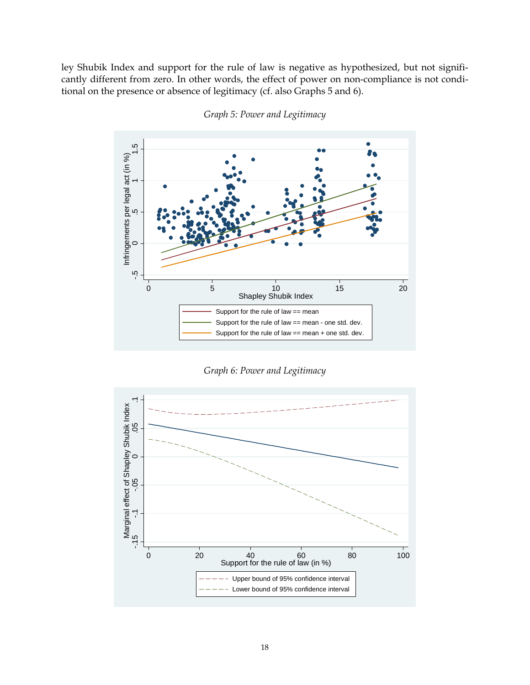ley Shubik Index and support for the rule of law is negative as hypothesized, but not significantly different from zero. In other words, the effect of power on non-compliance is not conditional on the presence or absence of legitimacy (cf. also Graphs 5 and 6).



*Graph 5: Power and Legitimacy* 

*Graph 6: Power and Legitimacy* 

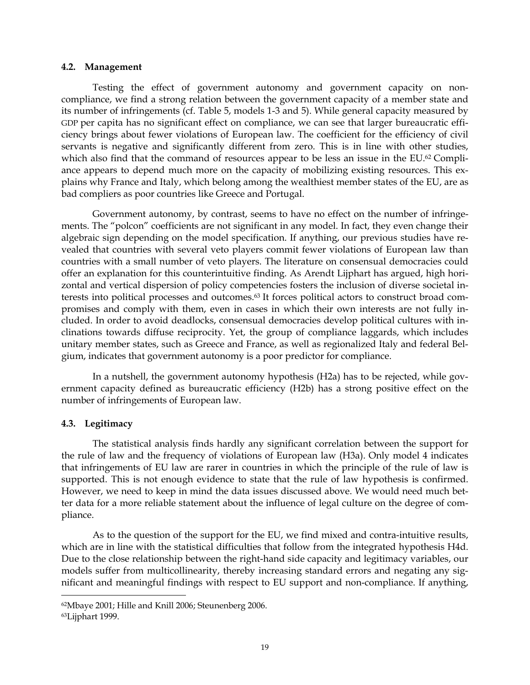#### **4.2. Management**

Testing the effect of government autonomy and government capacity on noncompliance, we find a strong relation between the government capacity of a member state and its number of infringements (cf. Table 5, models 1-3 and 5). While general capacity measured by GDP per capita has no significant effect on compliance, we can see that larger bureaucratic efficiency brings about fewer violations of European law. The coefficient for the efficiency of civil servants is negative and significantly different from zero. This is in line with other studies, which also find that the command of resources appear to be less an issue in the EU.<sup>62</sup> Compliance appears to depend much more on the capacity of mobilizing existing resources. This explains why France and Italy, which belong among the wealthiest member states of the EU, are as bad compliers as poor countries like Greece and Portugal.

Government autonomy, by contrast, seems to have no effect on the number of infringements. The "polcon" coefficients are not significant in any model. In fact, they even change their algebraic sign depending on the model specification. If anything, our previous studies have revealed that countries with several veto players commit fewer violations of European law than countries with a small number of veto players. The literature on consensual democracies could offer an explanation for this counterintuitive finding. As Arendt Lijphart has argued, high horizontal and vertical dispersion of policy competencies fosters the inclusion of diverse societal interests into political processes and outcomes.63 It forces political actors to construct broad compromises and comply with them, even in cases in which their own interests are not fully included. In order to avoid deadlocks, consensual democracies develop political cultures with inclinations towards diffuse reciprocity. Yet, the group of compliance laggards, which includes unitary member states, such as Greece and France, as well as regionalized Italy and federal Belgium, indicates that government autonomy is a poor predictor for compliance.

In a nutshell, the government autonomy hypothesis (H2a) has to be rejected, while government capacity defined as bureaucratic efficiency (H2b) has a strong positive effect on the number of infringements of European law.

### **4.3. Legitimacy**

The statistical analysis finds hardly any significant correlation between the support for the rule of law and the frequency of violations of European law (H3a). Only model 4 indicates that infringements of EU law are rarer in countries in which the principle of the rule of law is supported. This is not enough evidence to state that the rule of law hypothesis is confirmed. However, we need to keep in mind the data issues discussed above. We would need much better data for a more reliable statement about the influence of legal culture on the degree of compliance.

As to the question of the support for the EU, we find mixed and contra-intuitive results, which are in line with the statistical difficulties that follow from the integrated hypothesis H4d. Due to the close relationship between the right-hand side capacity and legitimacy variables, our models suffer from multicollinearity, thereby increasing standard errors and negating any significant and meaningful findings with respect to EU support and non-compliance. If anything,

<sup>62</sup>Mbaye 2001; Hille and Knill 2006; Steunenberg 2006.

<sup>63</sup>Lijphart 1999.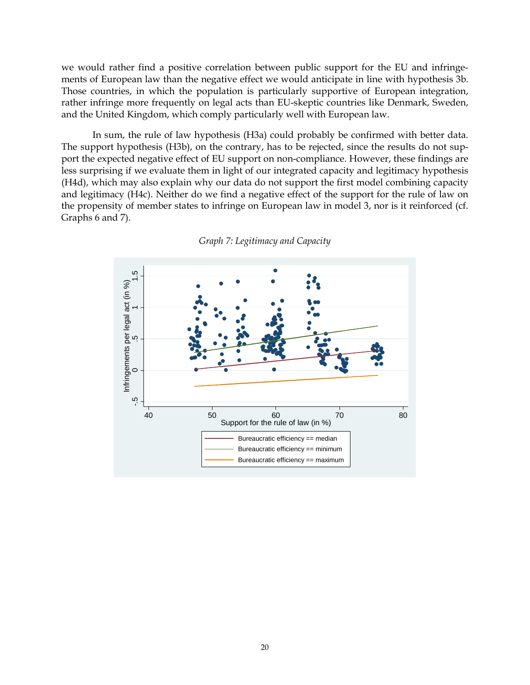we would rather find a positive correlation between public support for the EU and infringements of European law than the negative effect we would anticipate in line with hypothesis 3b. Those countries, in which the population is particularly supportive of European integration, rather infringe more frequently on legal acts than EU-skeptic countries like Denmark, Sweden, and the United Kingdom, which comply particularly well with European law.

In sum, the rule of law hypothesis (H3a) could probably be confirmed with better data. The support hypothesis (H3b), on the contrary, has to be rejected, since the results do not support the expected negative effect of EU support on non-compliance. However, these findings are less surprising if we evaluate them in light of our integrated capacity and legitimacy hypothesis (H4d), which may also explain why our data do not support the first model combining capacity and legitimacy (H4c). Neither do we find a negative effect of the support for the rule of law on the propensity of member states to infringe on European law in model 3, nor is it reinforced (cf. Graphs 6 and 7).



*Graph 7: Legitimacy and Capacity*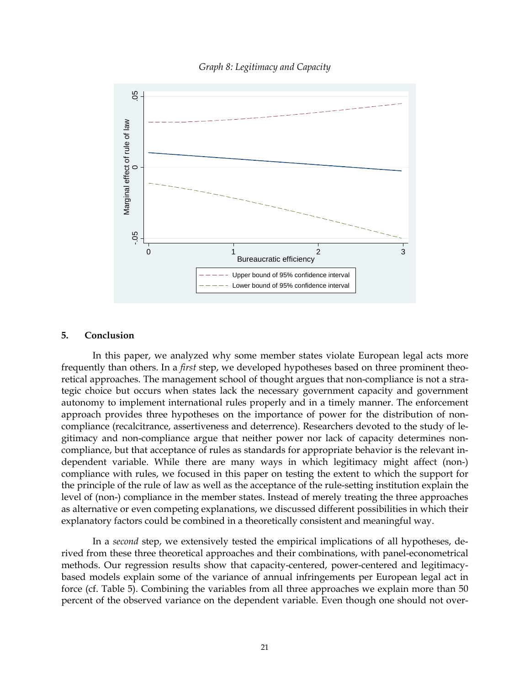*Graph 8: Legitimacy and Capacity* 



#### **5. Conclusion**

In this paper, we analyzed why some member states violate European legal acts more frequently than others. In a *first* step, we developed hypotheses based on three prominent theoretical approaches. The management school of thought argues that non-compliance is not a strategic choice but occurs when states lack the necessary government capacity and government autonomy to implement international rules properly and in a timely manner. The enforcement approach provides three hypotheses on the importance of power for the distribution of noncompliance (recalcitrance, assertiveness and deterrence). Researchers devoted to the study of legitimacy and non-compliance argue that neither power nor lack of capacity determines noncompliance, but that acceptance of rules as standards for appropriate behavior is the relevant independent variable. While there are many ways in which legitimacy might affect (non-) compliance with rules, we focused in this paper on testing the extent to which the support for the principle of the rule of law as well as the acceptance of the rule-setting institution explain the level of (non-) compliance in the member states. Instead of merely treating the three approaches as alternative or even competing explanations, we discussed different possibilities in which their explanatory factors could be combined in a theoretically consistent and meaningful way.

In a *second* step, we extensively tested the empirical implications of all hypotheses, derived from these three theoretical approaches and their combinations, with panel-econometrical methods. Our regression results show that capacity-centered, power-centered and legitimacybased models explain some of the variance of annual infringements per European legal act in force (cf. Table 5). Combining the variables from all three approaches we explain more than 50 percent of the observed variance on the dependent variable. Even though one should not over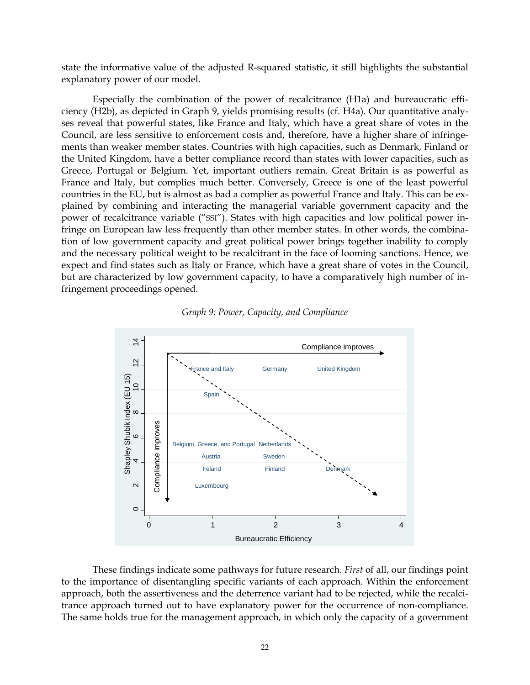state the informative value of the adjusted R-squared statistic, it still highlights the substantial explanatory power of our model.

Especially the combination of the power of recalcitrance (H1a) and bureaucratic efficiency (H2b), as depicted in Graph 9, yields promising results (cf. H4a). Our quantitative analyses reveal that powerful states, like France and Italy, which have a great share of votes in the Council, are less sensitive to enforcement costs and, therefore, have a higher share of infringements than weaker member states. Countries with high capacities, such as Denmark, Finland or the United Kingdom, have a better compliance record than states with lower capacities, such as Greece, Portugal or Belgium. Yet, important outliers remain. Great Britain is as powerful as France and Italy, but complies much better. Conversely, Greece is one of the least powerful countries in the EU, but is almost as bad a complier as powerful France and Italy. This can be explained by combining and interacting the managerial variable government capacity and the power of recalcitrance variable ("SSI"). States with high capacities and low political power infringe on European law less frequently than other member states. In other words, the combination of low government capacity and great political power brings together inability to comply and the necessary political weight to be recalcitrant in the face of looming sanctions. Hence, we expect and find states such as Italy or France, which have a great share of votes in the Council, but are characterized by low government capacity, to have a comparatively high number of infringement proceedings opened.





These findings indicate some pathways for future research. *First* of all, our findings point to the importance of disentangling specific variants of each approach. Within the enforcement approach, both the assertiveness and the deterrence variant had to be rejected, while the recalcitrance approach turned out to have explanatory power for the occurrence of non-compliance. The same holds true for the management approach, in which only the capacity of a government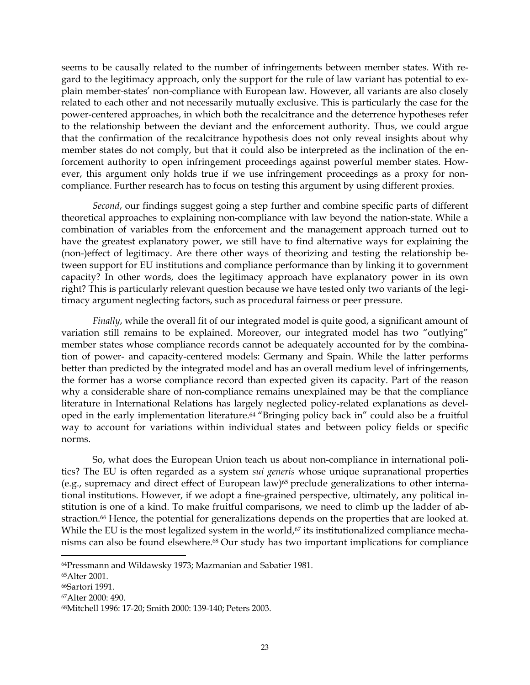seems to be causally related to the number of infringements between member states. With regard to the legitimacy approach, only the support for the rule of law variant has potential to explain member-states' non-compliance with European law. However, all variants are also closely related to each other and not necessarily mutually exclusive. This is particularly the case for the power-centered approaches, in which both the recalcitrance and the deterrence hypotheses refer to the relationship between the deviant and the enforcement authority. Thus, we could argue that the confirmation of the recalcitrance hypothesis does not only reveal insights about why member states do not comply, but that it could also be interpreted as the inclination of the enforcement authority to open infringement proceedings against powerful member states. However, this argument only holds true if we use infringement proceedings as a proxy for noncompliance. Further research has to focus on testing this argument by using different proxies.

*Second*, our findings suggest going a step further and combine specific parts of different theoretical approaches to explaining non-compliance with law beyond the nation-state. While a combination of variables from the enforcement and the management approach turned out to have the greatest explanatory power, we still have to find alternative ways for explaining the (non-)effect of legitimacy. Are there other ways of theorizing and testing the relationship between support for EU institutions and compliance performance than by linking it to government capacity? In other words, does the legitimacy approach have explanatory power in its own right? This is particularly relevant question because we have tested only two variants of the legitimacy argument neglecting factors, such as procedural fairness or peer pressure.

*Finally*, while the overall fit of our integrated model is quite good, a significant amount of variation still remains to be explained. Moreover, our integrated model has two "outlying" member states whose compliance records cannot be adequately accounted for by the combination of power- and capacity-centered models: Germany and Spain. While the latter performs better than predicted by the integrated model and has an overall medium level of infringements, the former has a worse compliance record than expected given its capacity. Part of the reason why a considerable share of non-compliance remains unexplained may be that the compliance literature in International Relations has largely neglected policy-related explanations as developed in the early implementation literature.64 "Bringing policy back in" could also be a fruitful way to account for variations within individual states and between policy fields or specific norms.

So, what does the European Union teach us about non-compliance in international politics? The EU is often regarded as a system *sui generis* whose unique supranational properties (e.g., supremacy and direct effect of European law)<sup>65</sup> preclude generalizations to other international institutions. However, if we adopt a fine-grained perspective, ultimately, any political institution is one of a kind. To make fruitful comparisons, we need to climb up the ladder of abstraction.<sup>66</sup> Hence, the potential for generalizations depends on the properties that are looked at. While the EU is the most legalized system in the world,<sup>67</sup> its institutionalized compliance mechanisms can also be found elsewhere.68 Our study has two important implications for compliance

<sup>64</sup>Pressmann and Wildawsky 1973; Mazmanian and Sabatier 1981.

<sup>65</sup>Alter 2001.

<sup>66</sup>Sartori 1991.

<sup>67</sup>Alter 2000: 490.

<sup>68</sup>Mitchell 1996: 17-20; Smith 2000: 139-140; Peters 2003.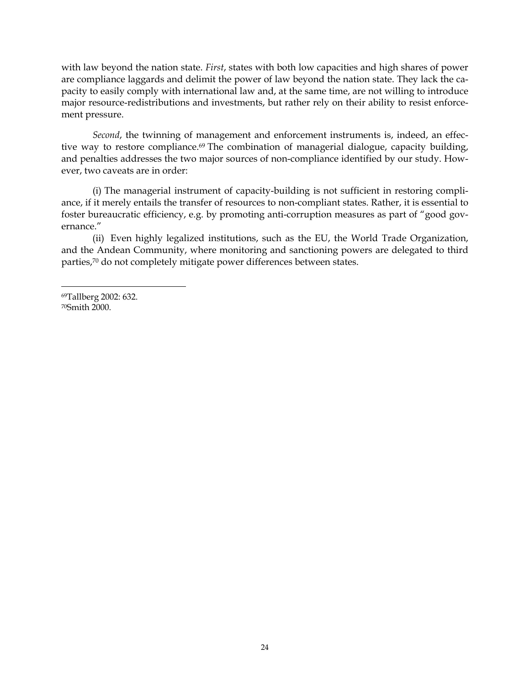with law beyond the nation state. *First*, states with both low capacities and high shares of power are compliance laggards and delimit the power of law beyond the nation state. They lack the capacity to easily comply with international law and, at the same time, are not willing to introduce major resource-redistributions and investments, but rather rely on their ability to resist enforcement pressure.

*Second*, the twinning of management and enforcement instruments is, indeed, an effective way to restore compliance.<sup>69</sup> The combination of managerial dialogue, capacity building, and penalties addresses the two major sources of non-compliance identified by our study. However, two caveats are in order:

(i) The managerial instrument of capacity-building is not sufficient in restoring compliance, if it merely entails the transfer of resources to non-compliant states. Rather, it is essential to foster bureaucratic efficiency, e.g. by promoting anti-corruption measures as part of "good governance."

(ii) Even highly legalized institutions, such as the EU, the World Trade Organization, and the Andean Community, where monitoring and sanctioning powers are delegated to third parties,70 do not completely mitigate power differences between states.

69Tallberg 2002: 632. 70Smith 2000.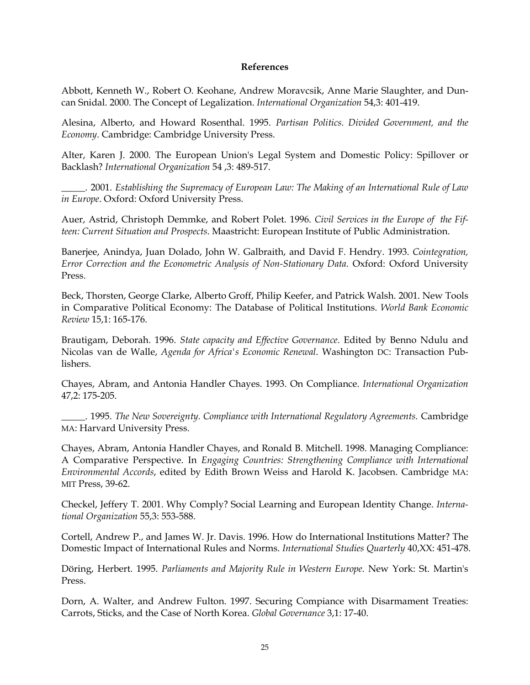### **References**

Abbott, Kenneth W., Robert O. Keohane, Andrew Moravcsik, Anne Marie Slaughter, and Duncan Snidal. 2000. The Concept of Legalization. *International Organization* 54,3: 401-419.

Alesina, Alberto, and Howard Rosenthal. 1995. *Partisan Politics. Divided Government, and the Economy*. Cambridge: Cambridge University Press.

Alter, Karen J. 2000. The European Union's Legal System and Domestic Policy: Spillover or Backlash? *International Organization* 54 ,3: 489-517.

\_\_\_\_\_. 2001. *Establishing the Supremacy of European Law: The Making of an International Rule of Law in Europe*. Oxford: Oxford University Press.

Auer, Astrid, Christoph Demmke, and Robert Polet. 1996. *Civil Services in the Europe of the Fifteen: Current Situation and Prospects*. Maastricht: European Institute of Public Administration.

Banerjee, Anindya, Juan Dolado, John W. Galbraith, and David F. Hendry. 1993. *Cointegration, Error Correction and the Econometric Analysis of Non-Stationary Data*. Oxford: Oxford University Press.

Beck, Thorsten, George Clarke, Alberto Groff, Philip Keefer, and Patrick Walsh. 2001. New Tools in Comparative Political Economy: The Database of Political Institutions. *World Bank Economic Review* 15,1: 165-176.

Brautigam, Deborah. 1996. *State capacity and Effective Governance*. Edited by Benno Ndulu and Nicolas van de Walle, *Agenda for Africa's Economic Renewal*. Washington DC: Transaction Publishers.

Chayes, Abram, and Antonia Handler Chayes. 1993. On Compliance. *International Organization* 47,2: 175-205.

\_\_\_\_\_. 1995. *The New Sovereignty. Compliance with International Regulatory Agreements*. Cambridge MA: Harvard University Press.

Chayes, Abram, Antonia Handler Chayes, and Ronald B. Mitchell. 1998. Managing Compliance: A Comparative Perspective. In *Engaging Countries: Strengthening Compliance with International Environmental Accords*, edited by Edith Brown Weiss and Harold K. Jacobsen. Cambridge MA: MIT Press, 39-62.

Checkel, Jeffery T. 2001. Why Comply? Social Learning and European Identity Change. *International Organization* 55,3: 553-588.

Cortell, Andrew P., and James W. Jr. Davis. 1996. How do International Institutions Matter? The Domestic Impact of International Rules and Norms. *International Studies Quarterly* 40,XX: 451-478.

Döring, Herbert. 1995. *Parliaments and Majority Rule in Western Europe*. New York: St. Martin's Press.

Dorn, A. Walter, and Andrew Fulton. 1997. Securing Compiance with Disarmament Treaties: Carrots, Sticks, and the Case of North Korea. *Global Governance* 3,1: 17-40.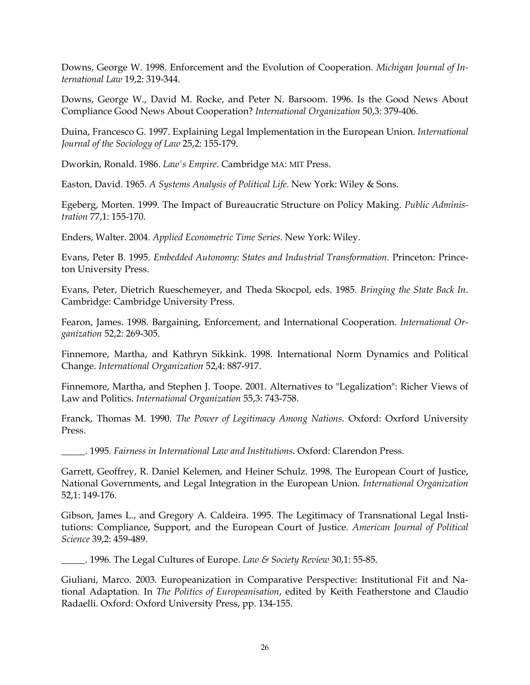Downs, George W. 1998. Enforcement and the Evolution of Cooperation. *Michigan Journal of International Law* 19,2: 319-344.

Downs, George W., David M. Rocke, and Peter N. Barsoom. 1996. Is the Good News About Compliance Good News About Cooperation? *International Organization* 50,3: 379-406.

Duina, Francesco G. 1997. Explaining Legal Implementation in the European Union. *International Journal of the Sociology of Law* 25,2: 155-179.

Dworkin, Ronald. 1986. *Law's Empire*. Cambridge MA: MIT Press.

Easton, David. 1965. *A Systems Analysis of Political Life*. New York: Wiley & Sons.

Egeberg, Morten. 1999. The Impact of Bureaucratic Structure on Policy Making. *Public Administration* 77,1: 155-170.

Enders, Walter. 2004. *Applied Econometric Time Series*. New York: Wiley.

Evans, Peter B. 1995. *Embedded Autonomy: States and Industrial Transformation*. Princeton: Princeton University Press.

Evans, Peter, Dietrich Rueschemeyer, and Theda Skocpol, eds. 1985. *Bringing the State Back In*. Cambridge: Cambridge University Press.

Fearon, James. 1998. Bargaining, Enforcement, and International Cooperation. *International Organization* 52,2: 269-305.

Finnemore, Martha, and Kathryn Sikkink. 1998. International Norm Dynamics and Political Change. *International Organization* 52,4: 887-917.

Finnemore, Martha, and Stephen J. Toope. 2001. Alternatives to "Legalization": Richer Views of Law and Politics. *International Organization* 55,3: 743-758.

Franck, Thomas M. 1990. *The Power of Legitimacy Among Nations*. Oxford: Oxrford University Press.

\_\_\_\_\_. 1995. *Fairness in International Law and Institutions*. Oxford: Clarendon Press.

Garrett, Geoffrey, R. Daniel Kelemen, and Heiner Schulz. 1998. The European Court of Justice, National Governments, and Legal Integration in the European Union. *International Organization* 52,1: 149-176.

Gibson, James L., and Gregory A. Caldeira. 1995. The Legitimacy of Transnational Legal Institutions: Compliance, Support, and the European Court of Justice. *American Journal of Political Science* 39,2: 459-489.

\_\_\_\_\_. 1996. The Legal Cultures of Europe. *Law & Society Review* 30,1: 55-85.

Giuliani, Marco. 2003. Europeanization in Comparative Perspective: Institutional Fit and National Adaptation. In *The Politics of Europeanisation*, edited by Keith Featherstone and Claudio Radaelli. Oxford: Oxford University Press, pp. 134-155.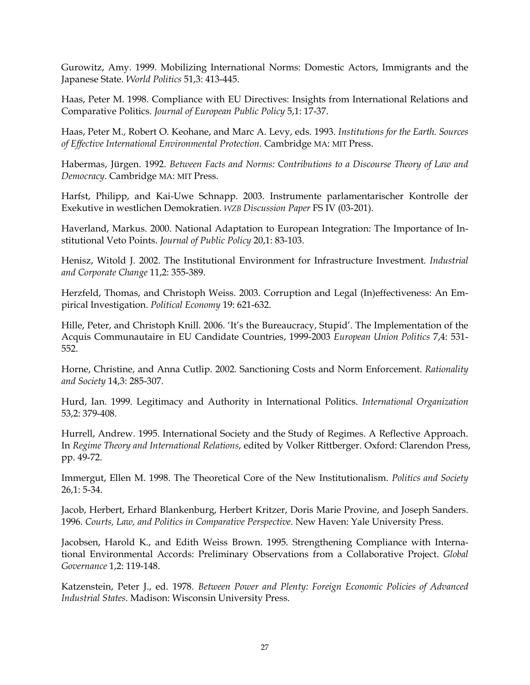Gurowitz, Amy. 1999. Mobilizing International Norms: Domestic Actors, Immigrants and the Japanese State. *World Politics* 51,3: 413-445.

Haas, Peter M. 1998. Compliance with EU Directives: Insights from International Relations and Comparative Politics. *Journal of European Public Policy* 5,1: 17-37.

Haas, Peter M., Robert O. Keohane, and Marc A. Levy, eds. 1993. *Institutions for the Earth. Sources of Effective International Environmental Protection*. Cambridge MA: MIT Press.

Habermas, Jürgen. 1992. *Between Facts and Norms: Contributions to a Discourse Theory of Law and Democracy*. Cambridge MA: MIT Press.

Harfst, Philipp, and Kai-Uwe Schnapp. 2003. Instrumente parlamentarischer Kontrolle der Exekutive in westlichen Demokratien. *WZB Discussion Paper* FS IV (03-201).

Haverland, Markus. 2000. National Adaptation to European Integration: The Importance of Institutional Veto Points. *Journal of Public Policy* 20,1: 83-103.

Henisz, Witold J. 2002. The Institutional Environment for Infrastructure Investment. *Industrial and Corporate Change* 11,2: 355-389.

Herzfeld, Thomas, and Christoph Weiss. 2003. Corruption and Legal (In)effectiveness: An Empirical Investigation. *Political Economy* 19: 621-632.

Hille, Peter, and Christoph Knill. 2006. 'It's the Bureaucracy, Stupid'. The Implementation of the Acquis Communautaire in EU Candidate Countries, 1999-2003 *European Union Politics* 7,4: 531- 552.

Horne, Christine, and Anna Cutlip. 2002. Sanctioning Costs and Norm Enforcement. *Rationality and Society* 14,3: 285-307.

Hurd, Ian. 1999. Legitimacy and Authority in International Politics. *International Organization* 53,2: 379-408.

Hurrell, Andrew. 1995. International Society and the Study of Regimes. A Reflective Approach. In *Regime Theory and International Relations*, edited by Volker Rittberger. Oxford: Clarendon Press, pp. 49-72.

Immergut, Ellen M. 1998. The Theoretical Core of the New Institutionalism. *Politics and Society* 26,1: 5-34.

Jacob, Herbert, Erhard Blankenburg, Herbert Kritzer, Doris Marie Provine, and Joseph Sanders. 1996. *Courts, Law, and Politics in Comparative Perspective*. New Haven: Yale University Press.

Jacobsen, Harold K., and Edith Weiss Brown. 1995. Strengthening Compliance with International Environmental Accords: Preliminary Observations from a Collaborative Project. *Global Governance* 1,2: 119-148.

Katzenstein, Peter J., ed. 1978. *Between Power and Plenty: Foreign Economic Policies of Advanced Industrial States*. Madison: Wisconsin University Press.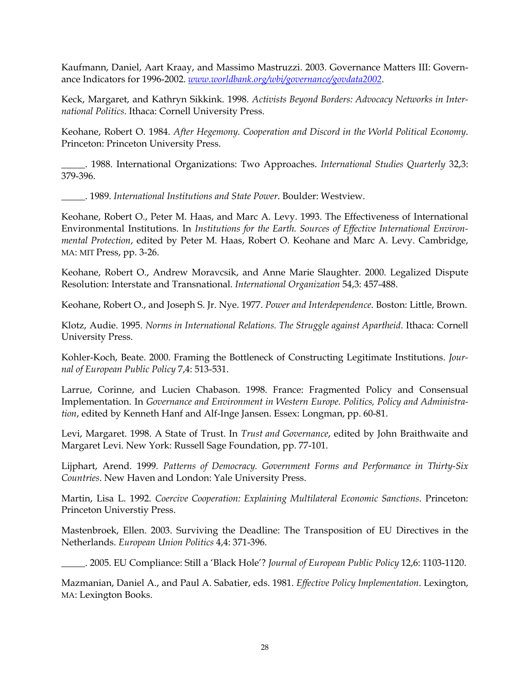Kaufmann, Daniel, Aart Kraay, and Massimo Mastruzzi. 2003. Governance Matters III: Governance Indicators for 1996-2002. *www.worldbank.org/wbi/governance/govdata2002*.

Keck, Margaret, and Kathryn Sikkink. 1998. *Activists Beyond Borders: Advocacy Networks in International Politics*. Ithaca: Cornell University Press.

Keohane, Robert O. 1984. *After Hegemony. Cooperation and Discord in the World Political Economy*. Princeton: Princeton University Press.

\_\_\_\_\_. 1988. International Organizations: Two Approaches. *International Studies Quarterly* 32,3: 379-396.

\_\_\_\_\_. 1989. *International Institutions and State Power*. Boulder: Westview.

Keohane, Robert O., Peter M. Haas, and Marc A. Levy. 1993. The Effectiveness of International Environmental Institutions. In *Institutions for the Earth. Sources of Effective International Environmental Protection*, edited by Peter M. Haas, Robert O. Keohane and Marc A. Levy. Cambridge, MA: MIT Press, pp. 3-26.

Keohane, Robert O., Andrew Moravcsik, and Anne Marie Slaughter. 2000. Legalized Dispute Resolution: Interstate and Transnational. *International Organization* 54,3: 457-488.

Keohane, Robert O., and Joseph S. Jr. Nye. 1977. *Power and Interdependence*. Boston: Little, Brown.

Klotz, Audie. 1995. *Norms in International Relations. The Struggle against Apartheid*. Ithaca: Cornell University Press.

Kohler-Koch, Beate. 2000. Framing the Bottleneck of Constructing Legitimate Institutions. *Journal of European Public Policy* 7,4: 513-531.

Larrue, Corinne, and Lucien Chabason. 1998. France: Fragmented Policy and Consensual Implementation. In *Governance and Environment in Western Europe. Politics, Policy and Administration*, edited by Kenneth Hanf and Alf-Inge Jansen. Essex: Longman, pp. 60-81.

Levi, Margaret. 1998. A State of Trust. In *Trust and Governance*, edited by John Braithwaite and Margaret Levi. New York: Russell Sage Foundation, pp. 77-101.

Lijphart, Arend. 1999. *Patterns of Democracy. Government Forms and Performance in Thirty-Six Countries*. New Haven and London: Yale University Press.

Martin, Lisa L. 1992. *Coercive Cooperation: Explaining Multilateral Economic Sanctions*. Princeton: Princeton Universtiy Press.

Mastenbroek, Ellen. 2003. Surviving the Deadline: The Transposition of EU Directives in the Netherlands. *European Union Politics* 4,4: 371-396.

\_\_\_\_\_. 2005. EU Compliance: Still a 'Black Hole'? *Journal of European Public Policy* 12,6: 1103-1120.

Mazmanian, Daniel A., and Paul A. Sabatier, eds. 1981. *Effective Policy Implementation*. Lexington, MA: Lexington Books.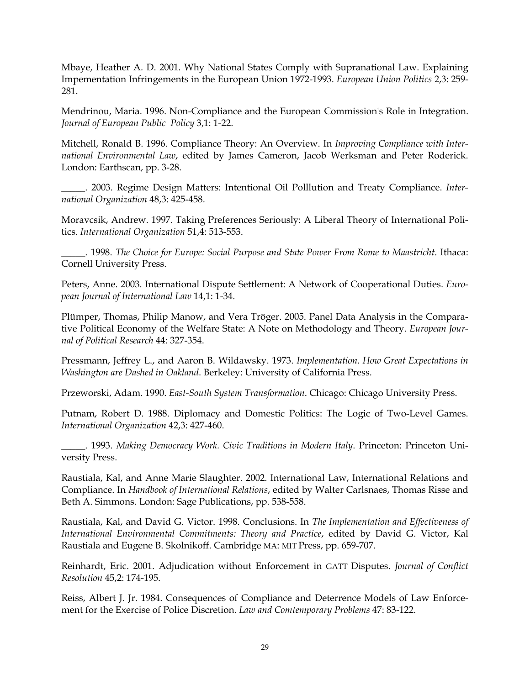Mbaye, Heather A. D. 2001. Why National States Comply with Supranational Law. Explaining Impementation Infringements in the European Union 1972-1993. *European Union Politics* 2,3: 259- 281.

Mendrinou, Maria. 1996. Non-Compliance and the European Commission's Role in Integration. *Journal of European Public Policy* 3,1: 1-22.

Mitchell, Ronald B. 1996. Compliance Theory: An Overview. In *Improving Compliance with International Environmental Law*, edited by James Cameron, Jacob Werksman and Peter Roderick. London: Earthscan, pp. 3-28.

\_\_\_\_\_. 2003. Regime Design Matters: Intentional Oil Polllution and Treaty Compliance. *International Organization* 48,3: 425-458.

Moravcsik, Andrew. 1997. Taking Preferences Seriously: A Liberal Theory of International Politics. *International Organization* 51,4: 513-553.

\_\_\_\_\_. 1998. *The Choice for Europe: Social Purpose and State Power From Rome to Maastricht*. Ithaca: Cornell University Press.

Peters, Anne. 2003. International Dispute Settlement: A Network of Cooperational Duties. *European Journal of International Law* 14,1: 1-34.

Plümper, Thomas, Philip Manow, and Vera Tröger. 2005. Panel Data Analysis in the Comparative Political Economy of the Welfare State: A Note on Methodology and Theory. *European Journal of Political Research* 44: 327-354.

Pressmann, Jeffrey L., and Aaron B. Wildawsky. 1973. *Implementation. How Great Expectations in Washington are Dashed in Oakland*. Berkeley: University of California Press.

Przeworski, Adam. 1990. *East-South System Transformation*. Chicago: Chicago University Press.

Putnam, Robert D. 1988. Diplomacy and Domestic Politics: The Logic of Two-Level Games. *International Organization* 42,3: 427-460.

\_\_\_\_\_. 1993. *Making Democracy Work. Civic Traditions in Modern Italy*. Princeton: Princeton University Press.

Raustiala, Kal, and Anne Marie Slaughter. 2002. International Law, International Relations and Compliance. In *Handbook of International Relations*, edited by Walter Carlsnaes, Thomas Risse and Beth A. Simmons. London: Sage Publications, pp. 538-558.

Raustiala, Kal, and David G. Victor. 1998. Conclusions. In *The Implementation and Effectiveness of International Environmental Commitments: Theory and Practice*, edited by David G. Victor, Kal Raustiala and Eugene B. Skolnikoff. Cambridge MA: MIT Press, pp. 659-707.

Reinhardt, Eric. 2001. Adjudication without Enforcement in GATT Disputes. *Journal of Conflict Resolution* 45,2: 174-195.

Reiss, Albert J. Jr. 1984. Consequences of Compliance and Deterrence Models of Law Enforcement for the Exercise of Police Discretion. *Law and Comtemporary Problems* 47: 83-122.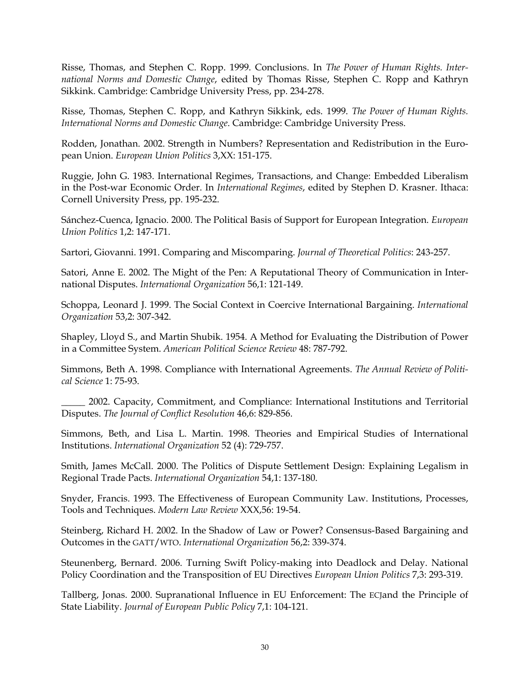Risse, Thomas, and Stephen C. Ropp. 1999. Conclusions. In *The Power of Human Rights. International Norms and Domestic Change*, edited by Thomas Risse, Stephen C. Ropp and Kathryn Sikkink. Cambridge: Cambridge University Press, pp. 234-278.

Risse, Thomas, Stephen C. Ropp, and Kathryn Sikkink, eds. 1999. *The Power of Human Rights. International Norms and Domestic Change*. Cambridge: Cambridge University Press.

Rodden, Jonathan. 2002. Strength in Numbers? Representation and Redistribution in the European Union. *European Union Politics* 3,XX: 151-175.

Ruggie, John G. 1983. International Regimes, Transactions, and Change: Embedded Liberalism in the Post-war Economic Order. In *International Regimes*, edited by Stephen D. Krasner. Ithaca: Cornell University Press, pp. 195-232.

Sánchez-Cuenca, Ignacio. 2000. The Political Basis of Support for European Integration. *European Union Politics* 1,2: 147-171.

Sartori, Giovanni. 1991. Comparing and Miscomparing. *Journal of Theoretical Politics*: 243-257.

Satori, Anne E. 2002. The Might of the Pen: A Reputational Theory of Communication in International Disputes. *International Organization* 56,1: 121-149.

Schoppa, Leonard J. 1999. The Social Context in Coercive International Bargaining. *International Organization* 53,2: 307-342.

Shapley, Lloyd S., and Martin Shubik. 1954. A Method for Evaluating the Distribution of Power in a Committee System. *American Political Science Review* 48: 787-792.

Simmons, Beth A. 1998. Compliance with International Agreements. *The Annual Review of Political Science* 1: 75-93.

\_\_\_\_\_ 2002. Capacity, Commitment, and Compliance: International Institutions and Territorial Disputes. *The Journal of Conflict Resolution* 46,6: 829-856.

Simmons, Beth, and Lisa L. Martin. 1998. Theories and Empirical Studies of International Institutions. *International Organization* 52 (4): 729-757.

Smith, James McCall. 2000. The Politics of Dispute Settlement Design: Explaining Legalism in Regional Trade Pacts. *International Organization* 54,1: 137-180.

Snyder, Francis. 1993. The Effectiveness of European Community Law. Institutions, Processes, Tools and Techniques. *Modern Law Review* XXX,56: 19-54.

Steinberg, Richard H. 2002. In the Shadow of Law or Power? Consensus-Based Bargaining and Outcomes in the GATT/WTO. *International Organization* 56,2: 339-374.

Steunenberg, Bernard. 2006. Turning Swift Policy-making into Deadlock and Delay. National Policy Coordination and the Transposition of EU Directives *European Union Politics* 7,3: 293-319.

Tallberg, Jonas. 2000. Supranational Influence in EU Enforcement: The ECJand the Principle of State Liability. *Journal of European Public Policy* 7,1: 104-121.